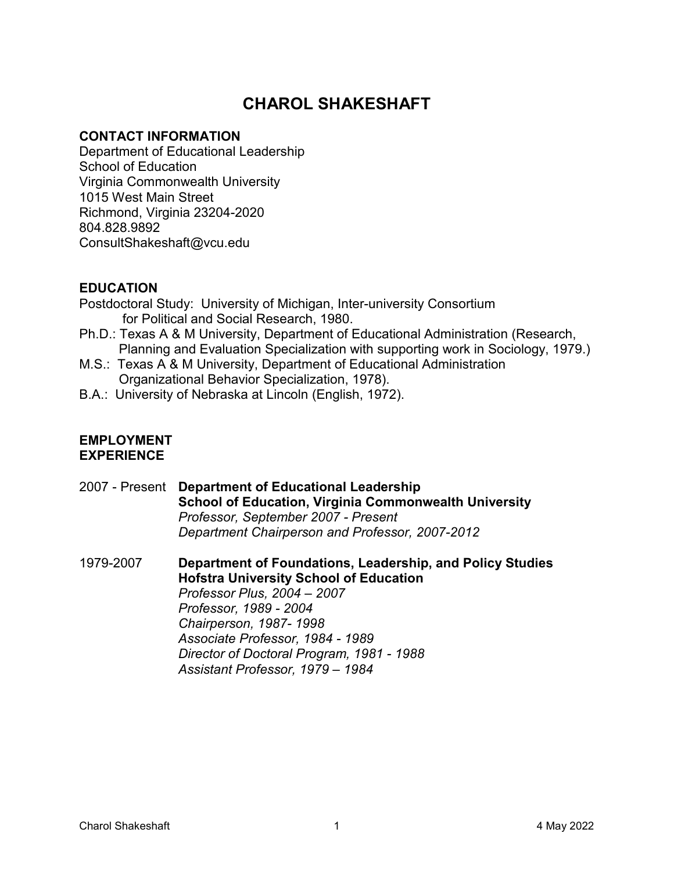# **CHAROL SHAKESHAFT**

#### **CONTACT INFORMATION**

Department of Educational Leadership School of Education Virginia Commonwealth University 1015 West Main Street Richmond, Virginia 23204-2020 804.828.9892 [ConsultShakeshaft@vcu.edu](mailto:ConsultShakeshaft@vcu.edu)

## **EDUCATION**

Postdoctoral Study: University of Michigan, Inter-university Consortium for Political and Social Research, 1980.

- Ph.D.: Texas A & M University, Department of Educational Administration (Research, Planning and Evaluation Specialization with supporting work in Sociology, 1979.)
- M.S.: Texas A & M University, Department of Educational Administration Organizational Behavior Specialization, 1978).
- B.A.: University of Nebraska at Lincoln (English, 1972).

#### **EMPLOYMENT EXPERIENCE**

- 2007 Present **Department of Educational Leadership**  *Professor, September 2007 - Present*  **School of Education, Virginia Commonwealth University**  *Department Chairperson and Professor, 2007-2012*
- *Professor Plus, 2004 2007 Professor, 1989 - 2004 Chairperson, 1987- 1998 Associate Professor, 1984 - 1989 Director of Doctoral Program, 1981 - 1988 Assistant Professor, 1979 – 1984*  1979-2007 **Department of Foundations, Leadership, and Policy Studies Hofstra University School of Education**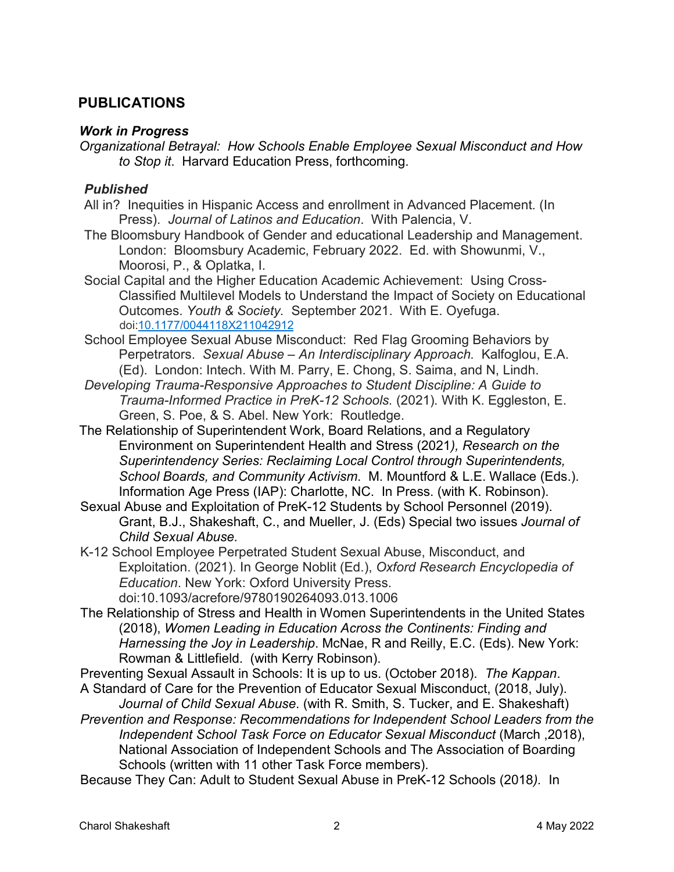## **PUBLICATIONS**

#### *Work in Progress*

*Organizational Betrayal: How Schools Enable Employee Sexual Misconduct and How to Stop it*. Harvard Education Press, forthcoming.

#### *Published*

- Press). *Journal of Latinos and Education*. With Palencia, V. All in? Inequities in Hispanic Access and enrollment in Advanced Placement. (In
- The Bloomsbury Handbook of Gender and educational Leadership and Management. The Bloomsbury Handbook of Gender and educational Leadership and Management. London: Bloomsbury Academic, February 2022. Ed. with Showunmi, V., Moorosi, P., & Oplatka, I.
- Outcomes. *Youth & Society.* September 2021. With E. Oyefuga. Social Capital and the Higher Education Academic Achievement: Using Cross-Classified Multilevel Models to Understand the Impact of Society on Educational doi[:10.1177/0044118X211042912](https://doi.org/10.1177/0044118X211042912)
- Perpetrators. *Sexual Abuse An Interdisciplinary Approach.* Kalfoglou, E.A. (Ed). London: Intech. With M. Parry, E. Chong, S. Saima, and N, Lindh. School Employee Sexual Abuse Misconduct: Red Flag Grooming Behaviors by
- *Developing Trauma-Responsive Approaches to Student Discipline: A Guide to Trauma-Informed Practice in PreK-12 Schools.* (2021)*.* With K. Eggleston, E. Green, S. Poe, & S. Abel. New York: Routledge.
- The Relationship of Superintendent Work, Board Relations, and a Regulatory School Boards, and Community Activism. M. Mountford & L.E. Wallace (Eds.). *School Boards, and Community Activism*. M. Mountford & L.E. Wallace (Eds.).<br>Information Age Press (IAP): Charlotte, NC. In Press. (with K. Robinson). Environment on Superintendent Health and Stress (2021*), Research on the Superintendency Series: Reclaiming Local Control through Superintendents,*
- Sexual Abuse and Exploitation of PreK-12 Students by School Personnel (2019). Sexual Abuse and Exploitation of PreK-12 Students by School Personnel (2019). Grant, B.J., Shakeshaft, C., and Mueller, J. (Eds) Special two issues *Journal of Child Sexual Abuse.*
- Exploitation. (2021). In George Noblit (Ed.), *Oxford Research Encyclopedia of*  K-12 School Employee Perpetrated Student Sexual Abuse, Misconduct, and *Education*. New York: Oxford University Press. doi:10.1093/acrefore/9780190264093.013.1006
- *Harnessing the Joy in Leadership*. McNae, R and Reilly, E.C. (Eds). New York: Rowman & Littlefield. (with Kerry Robinson). The Relationship of Stress and Health in Women Superintendents in the United States (2018), *Women Leading in Education Across the Continents: Finding and*
- Preventing Sexual Assault in Schools: It is up to us. (October 2018). *The Kappan*.
- *Journal of Child Sexual Abuse*. (with R. Smith, S. Tucker, and E. Shakeshaft) A Standard of Care for the Prevention of Educator Sexual Misconduct, (2018, July).
- National Association of Independent Schools and The Association of Boarding *Prevention and Response: Recommendations for Independent School Leaders from the Independent School Task Force on Educator Sexual Misconduct* (March ,2018), Schools (written with 11 other Task Force members).
- Because They Can: Adult to Student Sexual Abuse in PreK-12 Schools (2018*).* In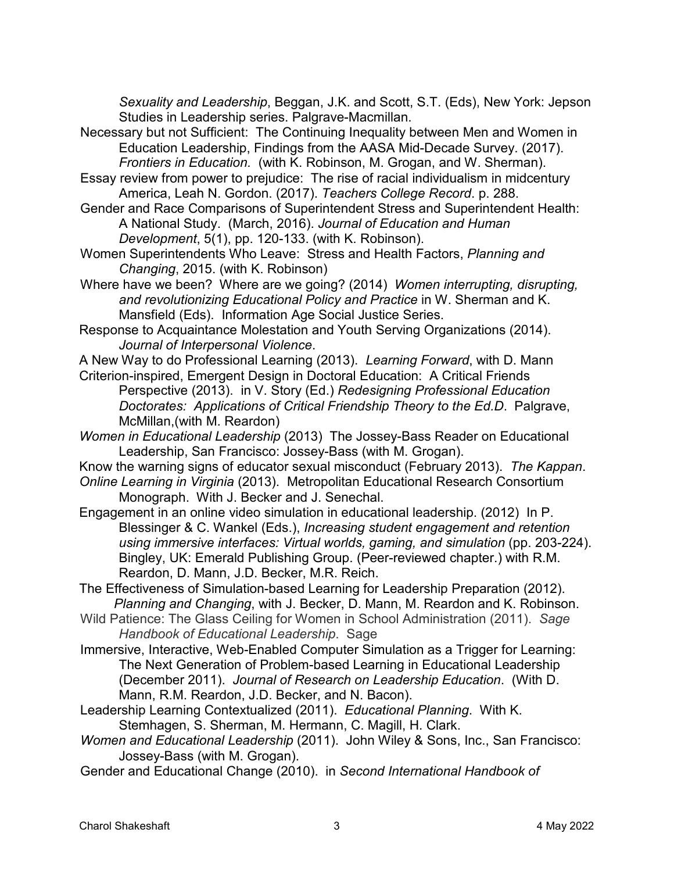*Sexuality and Leadership*, Beggan, J.K. and Scott, S.T. (Eds), New York: Jepson Studies in Leadership series. Palgrave-Macmillan.

 Necessary but not Sufficient: The Continuing Inequality between Men and Women in *Frontiers in Education.* (with K. Robinson, M. Grogan, and W. Sherman). Education Leadership, Findings from the AASA Mid-Decade Survey. (2017).

 Essay review from power to prejudice: The rise of racial individualism in midcentury America, Leah N. Gordon. (2017). *Teachers College Record*. p. 288.

 Gender and Race Comparisons of Superintendent Stress and Superintendent Health: *Development*, 5(1), pp. 120-133. (with K. Robinson). A National Study. (March, 2016). *Journal of Education and Human* 

 *Changing*, 2015. (with K. Robinson) Women Superintendents Who Leave: Stress and Health Factors, *Planning and* 

 Where have we been? Where are we going? (2014) *Women interrupting, disrupting, and revolutionizing Educational Policy and Practice* in W. Sherman and K. Mansfield (Eds). Information Age Social Justice Series.

Response to Acquaintance Molestation and Youth Serving Organizations (2014). *Journal of Interpersonal Violence*.

A New Way to do Professional Learning (2013). *Learning Forward*, with D. Mann

 Criterion-inspired, Emergent Design in Doctoral Education: A Critical Friends *Doctorates: Applications of Critical Friendship Theory to the Ed.D*. Palgrave, Perspective (2013). in V. Story (Ed.) *Redesigning Professional Education*  McMillan,(with M. Reardon)

 *Women in Educational Leadership* (2013) The Jossey-Bass Reader on Educational Leadership, San Francisco: Jossey-Bass (with M. Grogan).

Know the warning signs of educator sexual misconduct (February 2013). *The Kappan*.

*Online Learning in Virginia* (2013). Metropolitan Educational Research Consortium Monograph. With J. Becker and J. Senechal.

 Engagement in an online video simulation in educational leadership. (2012) In P.  *using immersive interfaces: Virtual worlds, gaming, and simulation* (pp. 203-224). Reardon, D. Mann, J.D. Becker, M.R. Reich. Blessinger & C. Wankel (Eds.), *Increasing student engagement and retention*  Bingley, UK: Emerald Publishing Group. (Peer-reviewed chapter.) with R.M.

 The Effectiveness of Simulation-based Learning for Leadership Preparation (2012). *Planning and Changing*, with J. Becker, D. Mann, M. Reardon and K. Robinson.

 Wild Patience: The Glass Ceiling for Women in School Administration (2011). *Sage Handbook of Educational Leadership*. Sage

 Immersive, Interactive, Web-Enabled Computer Simulation as a Trigger for Learning: (December 2011). *Journal of Research on Leadership Education*. (With D. The Next Generation of Problem-based Learning in Educational Leadership Mann, R.M. Reardon, J.D. Becker, and N. Bacon).

 Leadership Learning Contextualized (2011). *Educational Planning*. With K. Stemhagen, S. Sherman, M. Hermann, C. Magill, H. Clark.

 *Women and Educational Leadership* (2011). John Wiley & Sons, Inc., San Francisco: Jossey-Bass (with M. Grogan).

Gender and Educational Change (2010). in *Second International Handbook of*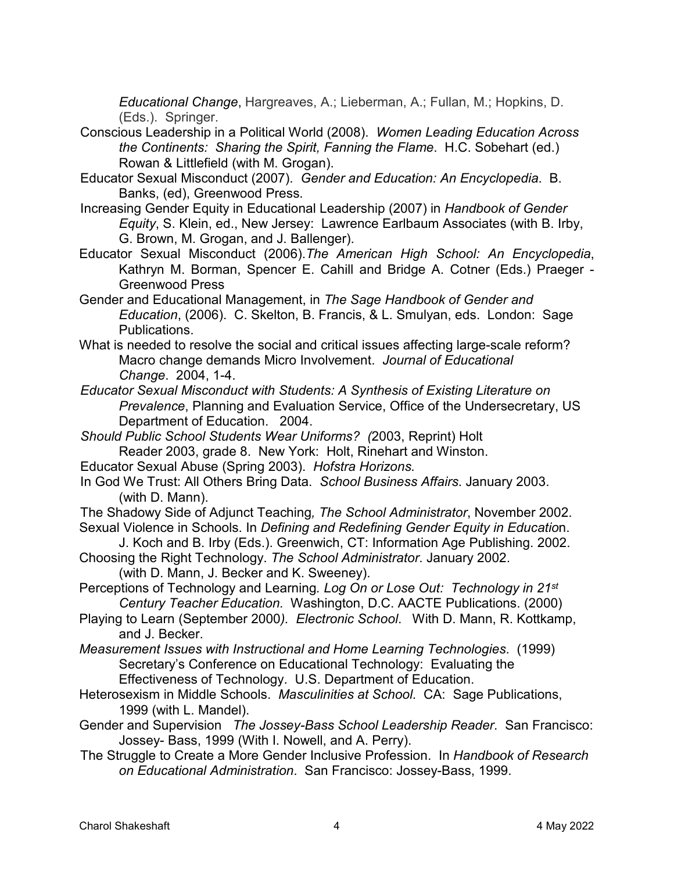*Educational Change*, Hargreaves, A.; Lieberman, A.; Fullan, M.; Hopkins, D. (Eds.). Springer.

- Conscious Leadership in a Political World (2008). *Women Leading Education Across the Continents: Sharing the Spirit, Fanning the Flame*. H.C. Sobehart (ed.) Rowan & Littlefield (with M. Grogan).
- Educator Sexual Misconduct (2007). *Gender and Education: An Encyclopedia*. B. Banks, (ed), Greenwood Press.
- Banks, (ed), Greenwood Press. Increasing Gender Equity in Educational Leadership (2007) in *Handbook of Gender Equity*, S. Klein, ed., New Jersey: Lawrence Earlbaum Associates (with B. Irby, G. Brown, M. Grogan, and J. Ballenger).
- Educator Sexual Misconduct (2006).*The American High School: An Encyclopedia*, Kathryn M. Borman, Spencer E. Cahill and Bridge A. Cotner (Eds.) Praeger - Greenwood Press
- *Education*, (2006). C. Skelton, B. Francis, & L. Smulyan, eds. London: Sage Gender and Educational Management, in *The Sage Handbook of Gender and*  Publications.
- What is needed to resolve the social and critical issues affecting large-scale reform? Macro change demands Micro Involvement. *Journal of Educational Change*. 2004, 1-4.
- Department of Education. 2004. *Educator Sexual Misconduct with Students: A Synthesis of Existing Literature on Prevalence*, Planning and Evaluation Service, Office of the Undersecretary, US
- *Should Public School Students Wear Uniforms? (*2003, Reprint) Holt Reader 2003, grade 8. New York: Holt, Rinehart and Winston.
- Educator Sexual Abuse (Spring 2003). *Hofstra Horizons.*
- In God We Trust: All Others Bring Data. *School Business Affairs*. January 2003. (with D. Mann).
- The Shadowy Side of Adjunct Teaching*, The School Administrator*, November 2002. Sexual Violence in Schools. In *Defining and Redefining Gender Equity in Educatio*n.
- J. Koch and B. Irby (Eds.). Greenwich, CT: Information Age Publishing. 2002. Choosing the Right Technology. *The School Administrator*. January 2002.
	- (with D. Mann, J. Becker and K. Sweeney).

 Perceptions of Technology and Learning*. Log On or Lose Out: Technology in 21st Century Teacher Education.* Washington, D.C. AACTE Publications. (2000)

- Playing to Learn (September 2000*). Electronic School*. With D. Mann, R. Kottkamp, and J. Becker.
- Effectiveness of Technology. U.S. Department of Education. *Measurement Issues with Instructional and Home Learning Technologies*. (1999) Secretary's Conference on Educational Technology: Evaluating the
- Heterosexism in Middle Schools. *Masculinities at School*. CA: Sage Publications, 1999 (with L. Mandel).
- Gender and Supervision *The Jossey-Bass School Leadership Reader*. San Francisco: Jossey- Bass, 1999 (With I. Nowell, and A. Perry).
- The Struggle to Create a More Gender Inclusive Profession. In *Handbook of Research on Educational Administration*. San Francisco: Jossey-Bass, 1999.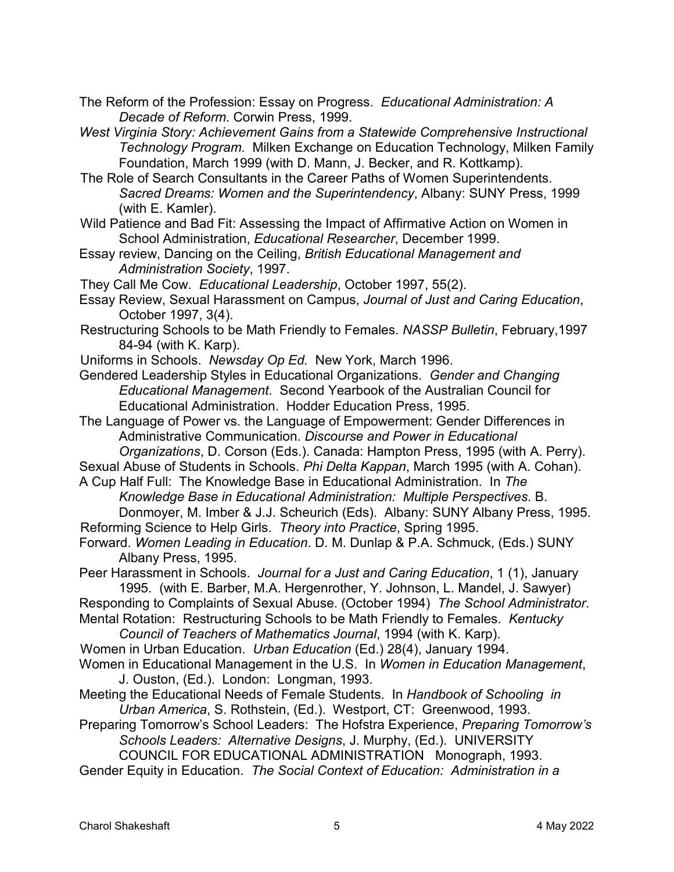The Reform of the Profession: Essay on Progress. *Educational Administration: A Decade of Reform*. Corwin Press, 1999.

*West Virginia Story: Achievement Gains from a Statewide Comprehensive Instructional Technology Program*. Milken Exchange on Education Technology, Milken Family Foundation, March 1999 (with D. Mann, J. Becker, and R. Kottkamp).

The Role of Search Consultants in the Career Paths of Women Superintendents. *Sacred Dreams: Women and the Superintendency*, Albany: SUNY Press, 1999 (with E. Kamler).

School Administration, Educational Researcher, December 1999. Wild Patience and Bad Fit: Assessing the Impact of Affirmative Action on Women in

Essay review, Dancing on the Ceiling, *British Educational Management and Administration Society*, 1997.

They Call Me Cow. *Educational Leadership*, October 1997, 55(2).

Essay Review, Sexual Harassment on Campus, *Journal of Just and Caring Education*, October 1997, 3(4).

Restructuring Schools to be Math Friendly to Females. *NASSP Bulletin*, February,1997 84-94 (with K. Karp).

 Uniforms in Schools. *Newsday Op Ed.* New York, March 1996.

 Gendered Leadership Styles in Educational Organizations. *Gender and Changing Educational Management*. Second Yearbook of the Australian Council for Educational Administration. Hodder Education Press, 1995.

The Language of Power vs. the Language of Empowerment: Gender Differences in Administrative Communication. *Discourse and Power in Educational* 

*Organizations*, D. Corson (Eds.). Canada: Hampton Press, 1995 (with A. Perry). Sexual Abuse of Students in Schools. *Phi Delta Kappan*, March 1995 (with A. Cohan).

 A Cup Half Full: The Knowledge Base in Educational Administration. In *The Knowledge Base in Educational Administration: Multiple Perspectives*. B.

 Donmoyer, M. Imber & J.J. Scheurich (Eds). Albany: SUNY Albany Press, 1995. Reforming Science to Help Girls. *Theory into Practice*, Spring 1995.

Forward. *Women Leading in Education*. D. M. Dunlap & P.A. Schmuck, (Eds.) SUNY Albany Press, 1995.

 Peer Harassment in Schools. *Journal for a Just and Caring Education*, 1 (1), January 1995. (with E. Barber, M.A. Hergenrother, Y. Johnson, L. Mandel, J. Sawyer)

 Responding to Complaints of Sexual Abuse. (October 1994) *The School Administrator*. Mental Rotation: Restructuring Schools to be Math Friendly to Females. *Kentucky* 

*Council of Teachers of Mathematics Journal*, 1994 (with K. Karp).

 Women in Urban Education. *Urban Education* (Ed.) 28(4), January 1994. J. Ouston, (Ed.). London: Longman, 1993. Women in Educational Management in the U.S. In *Women in Education Management*,

 Meeting the Educational Needs of Female Students. In *Handbook of Schooling in Urban America*, S. Rothstein, (Ed.). Westport, CT: Greenwood, 1993.

 *Schools Leaders: Alternative Designs*, J. Murphy, (Ed.). UNIVERSITY Preparing Tomorrow's School Leaders: The Hofstra Experience, *Preparing Tomorrow's* 

COUNCIL FOR EDUCATIONAL ADMINISTRATION Monograph, 1993.

 Gender Equity in Education. *The Social Context of Education: Administration in a*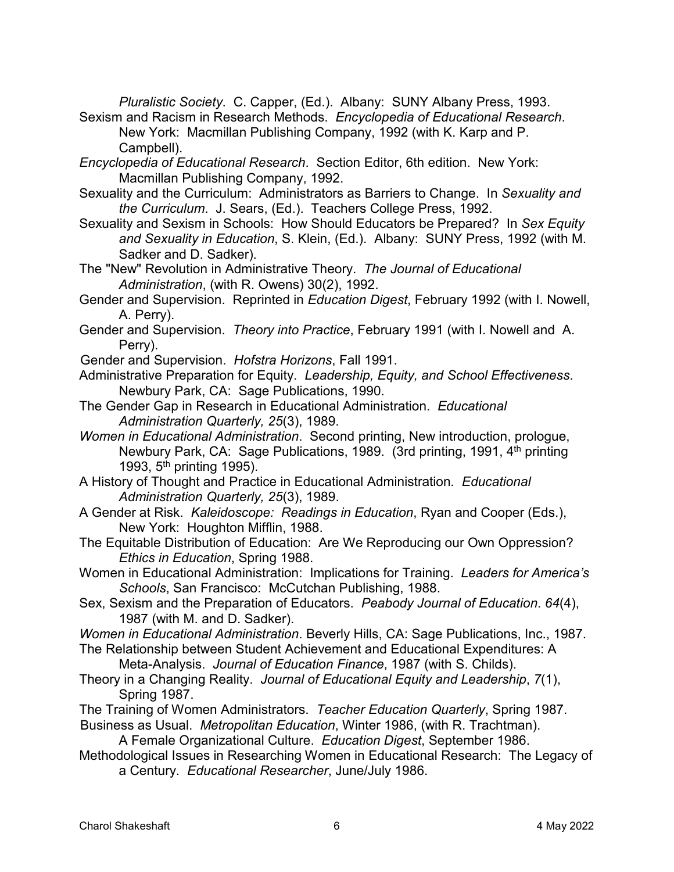*Pluralistic Society*. C. Capper, (Ed.). Albany: SUNY Albany Press, 1993.

- Sexism and Racism in Research Methods. *Encyclopedia of Educational Research*. New York: Macmillan Publishing Company, 1992 (with K. Karp and P. Campbell).
- *Encyclopedia of Educational Research*. Section Editor, 6th edition. New York: Macmillan Publishing Company, 1992.
- *the Curriculum*. J. Sears, (Ed.). Teachers College Press, 1992. Sexuality and the Curriculum: Administrators as Barriers to Change. In *Sexuality and*
- Sexuality and Sexism in Schools: How Should Educators be Prepared? In *Sex Equity and Sexuality in Education*, S. Klein, (Ed.). Albany: SUNY Press, 1992 (with M. Sadker and D. Sadker).
- The "New" Revolution in Administrative Theory. *The Journal of Educational Administration*, (with R. Owens) 30(2), 1992.
- Gender and Supervision. Reprinted in *Education Digest*, February 1992 (with I. Nowell, A. Perry).
- Gender and Supervision. *Theory into Practice*, February 1991 (with I. Nowell and A. Perry).
- Gender and Supervision. *Hofstra Horizons*, Fall 1991.
- Administrative Preparation for Equity. *Leadership, Equity, and School Effectiveness*. Newbury Park, CA: Sage Publications, 1990.
- The Gender Gap in Research in Educational Administration. *Educational Administration Quarterly, 25*(3), 1989.
- *Women in Educational Administration*. Second printing, New introduction, prologue, 1993, 5<sup>th</sup> printing 1995). Newbury Park, CA: Sage Publications, 1989. (3rd printing, 1991, 4<sup>th</sup> printing
- 1993, 5th printing 1995). A History of Thought and Practice in Educational Administration*. Educational Administration Quarterly, 25*(3), 1989.
- A Gender at Risk. *Kaleidoscope: Readings in Education*, Ryan and Cooper (Eds.), New York: Houghton Mifflin, 1988.
- The Equitable Distribution of Education: Are We Reproducing our Own Oppression? *Ethics in Education*, Spring 1988.
- Women in Educational Administration: Implications for Training. *Leaders for America's Schools*, San Francisco: McCutchan Publishing, 1988.
- Sex, Sexism and the Preparation of Educators. *Peabody Journal of Education*. *64*(4), 1987 (with M. and D. Sadker).
- *Women in Educational Administration*. Beverly Hills, CA: Sage Publications, Inc., 1987.
- The Relationship between Student Achievement and Educational Expenditures: A  Meta-Analysis. *Journal of Education Finance*, 1987 (with S. Childs).
- Theory in a Changing Reality. *Journal of Educational Equity and Leadership*, *7*(1), Spring 1987.
- The Training of Women Administrators. *Teacher Education Quarterly*, Spring 1987.

 Business as Usual. *Metropolitan Education*, Winter 1986, (with R. Trachtman). A Female Organizational Culture. *Education Digest*, September 1986.

 Methodological Issues in Researching Women in Educational Research: The Legacy of a Century. *Educational Researcher*, June/July 1986.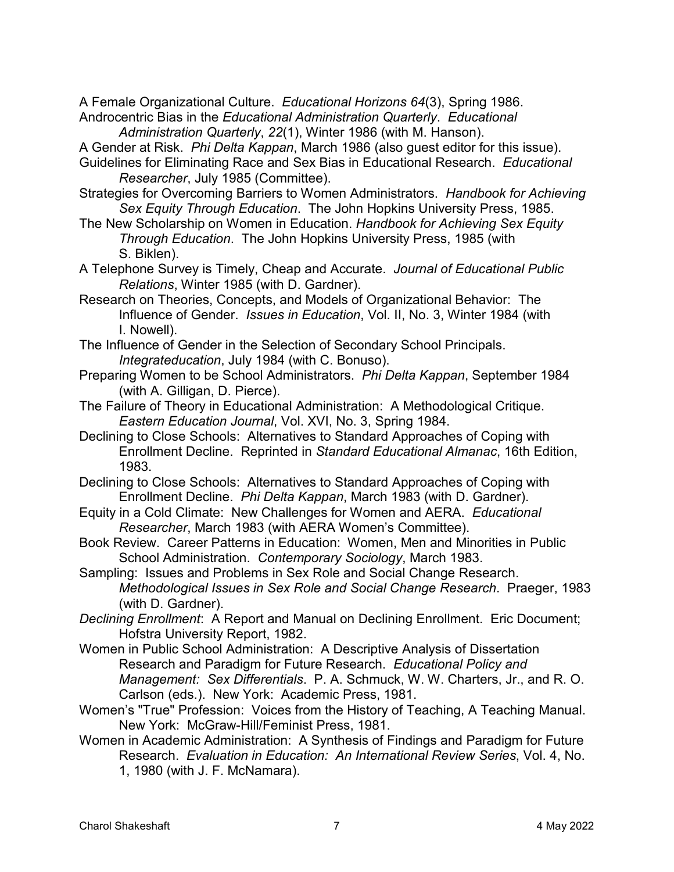A Female Organizational Culture. *Educational Horizons 64*(3), Spring 1986. Androcentric Bias in the *Educational Administration Quarterly*. *Educational* 

*Administration Quarterly*, *22*(1), Winter 1986 (with M. Hanson).

 A Gender at Risk. *Phi Delta Kappan*, March 1986 (also guest editor for this issue).

- Guidelines for Eliminating Race and Sex Bias in Educational Research. *Educational Researcher*, July 1985 (Committee).
- Strategies for Overcoming Barriers to Women Administrators. *Handbook for Achieving Sex Equity Through Education*. The John Hopkins University Press, 1985.
- The New Scholarship on Women in Education. *Handbook for Achieving Sex Equity Through Education*. The John Hopkins University Press, 1985 (with S. Biklen).
- A Telephone Survey is Timely, Cheap and Accurate. *Journal of Educational Public Relations*, Winter 1985 (with D. Gardner).
- Influence of Gender. *Issues in Education*, Vol. II, No. 3, Winter 1984 (with Research on Theories, Concepts, and Models of Organizational Behavior: The I. Nowell).
- The Influence of Gender in the Selection of Secondary School Principals. *Integrateducation*, July 1984 (with C. Bonuso).
- Preparing Women to be School Administrators. *Phi Delta Kappan*, September 1984 (with A. Gilligan, D. Pierce).
- The Failure of Theory in Educational Administration: A Methodological Critique. *Eastern Education Journal*, Vol. XVI, No. 3, Spring 1984.
- Declining to Close Schools: Alternatives to Standard Approaches of Coping with Enrollment Decline. Reprinted in *Standard Educational Almanac*, 16th Edition, 1983.

 Declining to Close Schools: Alternatives to Standard Approaches of Coping with  Enrollment Decline. *Phi Delta Kappan*, March 1983 (with D. Gardner).

- Equity in a Cold Climate: New Challenges for Women and AERA. *Educational Researcher*, March 1983 (with AERA Women's Committee).
- Book Review. Career Patterns in Education: Women, Men and Minorities in Public School Administration. *Contemporary Sociology*, March 1983.
- Sampling: Issues and Problems in Sex Role and Social Change Research. *Methodological Issues in Sex Role and Social Change Research*. Praeger, 1983 (with D. Gardner).

 *Declining Enrollment*: A Report and Manual on Declining Enrollment. Eric Document; Hofstra University Report, 1982.

- Women in Public School Administration: A Descriptive Analysis of Dissertation Research and Paradigm for Future Research. *Educational Policy and Management: Sex Differentials. P.* A. Schmuck, W. W. Charters, Jr., and R. O.<br>Carlson (eds.). New York: Academic Press, 1981.
- Women's "True" Profession: Voices from the History of Teaching, A Teaching Manual. New York: McGraw-Hill/Feminist Press, 1981.
- Women in Academic Administration: A Synthesis of Findings and Paradigm for Future Research. *Evaluation in Education: An International Review Series*, Vol. 4, No. 1, 1980 (with J. F. McNamara).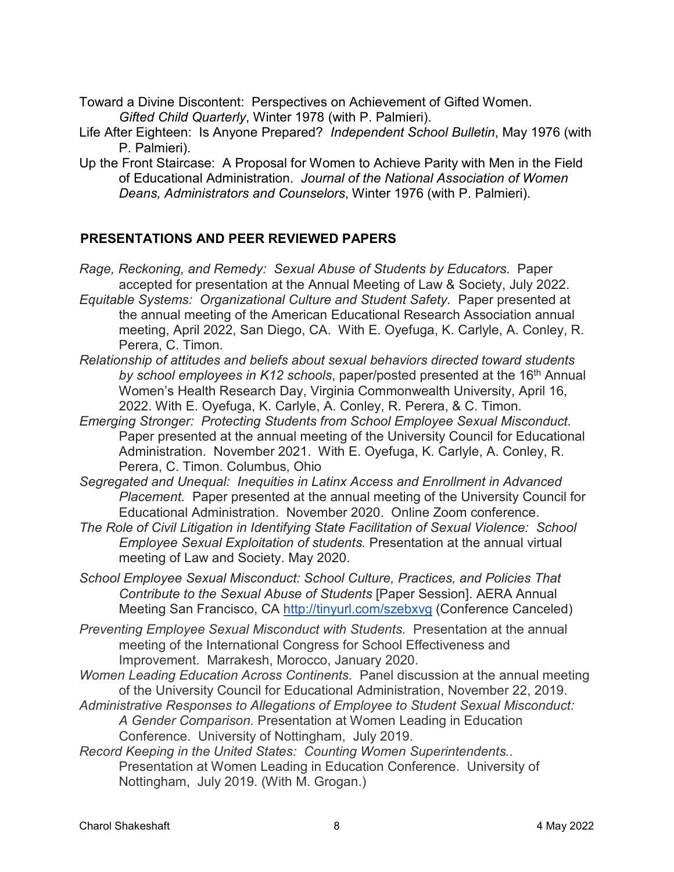Toward a Divine Discontent: Perspectives on Achievement of Gifted Women. *Gifted Child Quarterly*, Winter 1978 (with P. Palmieri).

- Life After Eighteen: Is Anyone Prepared? *Independent School Bulletin*, May 1976 (with P. Palmieri).
- Up the Front Staircase: A Proposal for Women to Achieve Parity with Men in the Field of Educational Administration. *Journal of the National Association of Women Deans, Administrators and Counselors*, Winter 1976 (with P. Palmieri).

## **PRESENTATIONS AND PEER REVIEWED PAPERS**

 *Rage, Reckoning, and Remedy: Sexual Abuse of Students by Educators.* Paper accepted for presentation at the Annual Meeting of Law & Society, July 2022.

 *Equitable Systems: Organizational Culture and Student Safety.* Paper presented at the annual meeting of the American Educational Research Association annual meeting, April 2022, San Diego, CA. With E. Oyefuga, K. Carlyle, A. Conley, R. Perera, C. Timon.

- *Relationship of attitudes and beliefs about sexual behaviors directed toward students*  by school employees in K12 schools, paper/posted presented at the 16<sup>th</sup> Annual Women's Health Research Day, Virginia Commonwealth University, April 16, 2022. With E. Oyefuga, K. Carlyle, A. Conley, R. Perera, & C. Timon.
- *Emerging Stronger: Protecting Students from School Employee Sexual Misconduct.*  Paper presented at the annual meeting of the University Council for Educational Administration. November 2021. With E. Oyefuga, K. Carlyle, A. Conley, R. Perera, C. Timon. Columbus, Ohio
- *Placement.* Paper presented at the annual meeting of the University Council for Educational Administration. November 2020. Online Zoom conference. *Segregated and Unequal: Inequities in Latinx Access and Enrollment in Advanced*
- *The Role of Civil Litigation in Identifying State Facilitation of Sexual Violence: School*  meeting of Law and Society. May 2020. *Employee Sexual Exploitation of students.* Presentation at the annual virtual
- *School Employee Sexual Misconduct: School Culture, Practices, and Policies That Contribute to the Sexual Abuse of Students* [Paper Session]. AERA Annual Meeting San Francisco, CA<http://tinyurl.com/szebxvg>(Conference Canceled)
- *Preventing Employee Sexual Misconduct with Students.* Presentation at the annual meeting of the International Congress for School Effectiveness and Improvement. Marrakesh, Morocco, January 2020.
- *Women Leading Education Across Continents.* Panel discussion at the annual meeting of the University Council for Educational Administration, November 22, 2019.
- **Administrative Responses to Allegations of Employee to Student Sexual Misconduct:**  Conference. University of Nottingham, July 2019. *Administrative Responses to Allegations of Employee to Student Sexual Misconduct: A Gender Comparison.* Presentation at Women Leading in Education
- Nottingham, July 2019. (With M. Grogan.) *Record Keeping in the United States: Counting Women Superintendents..*  Presentation at Women Leading in Education Conference. University of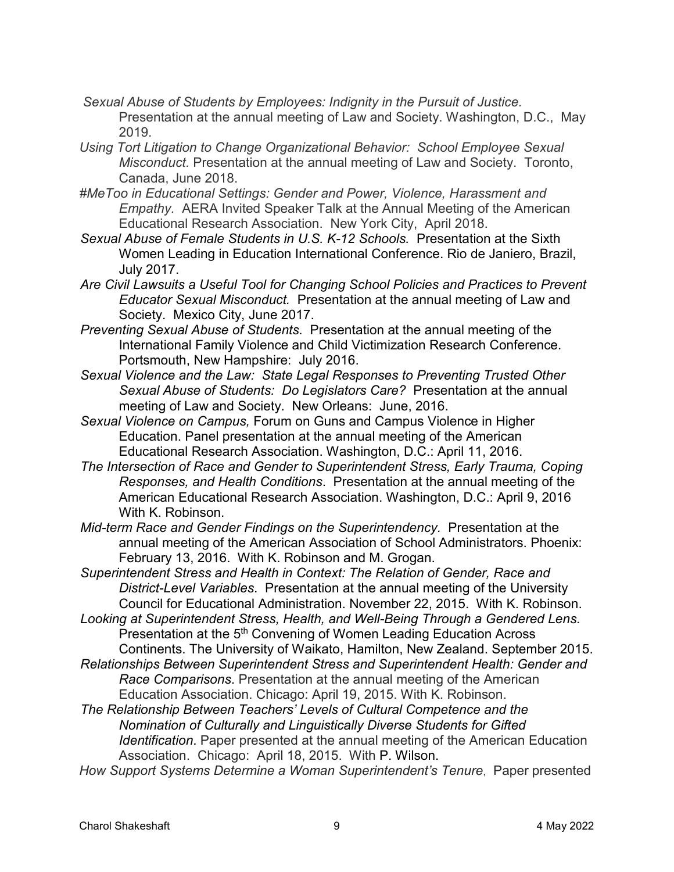- Presentation at the annual meeting of Law and Society. Washington, D.C., May *Sexual Abuse of Students by Employees: Indignity in the Pursuit of Justice.*  2019.
- Using Tort Litigation to Change Organizational Behavior: School Employee Sexual *Misconduct.* Presentation at the annual meeting of Law and Society. Toronto, Canada, June 2018.
- *Empathy.* AERA Invited Speaker Talk at the Annual Meeting of the American Educational Research Association. New York City, April 2018. *#MeToo in Educational Settings: Gender and Power, Violence, Harassment and*
- *Sexual Abuse of Female Students in U.S. K-12 Schools.* Presentation at the Sixth  July 2017. Women Leading in Education International Conference. Rio de Janiero, Brazil,
- *Educator Sexual Misconduct.* Presentation at the annual meeting of Law and *Are Civil Lawsuits a Useful Tool for Changing School Policies and Practices to Prevent*  Society. Mexico City, June 2017.
- *Preventing Sexual Abuse of Students.* Presentation at the annual meeting of the International Family Violence and Child Victimization Research Conference.<br>Portsmouth, New Hampshire: July 2016.
- *Sexual Violence and the Law: State Legal Responses to Preventing Trusted Other Sexual Abuse of Students: Do Legislators Care?* Presentation at the annual meeting of Law and Society. New Orleans: June, 2016.
- *Sexual Violence on Campus,* Forum on Guns and Campus Violence in Higher Education. Panel presentation at the annual meeting of the American Educational Research Association. Washington, D.C.: April 11, 2016.
- *The Intersection of Race and Gender to Superintendent Stress, Early Trauma, Coping Responses, and Health Conditions*. Presentation at the annual meeting of the American Educational Research Association. Washington, D.C.: April 9, 2016 With K. Robinson.
- *Mid-term Race and Gender Findings on the Superintendency.* Presentation at the annual meeting of the American Association of School Administrators. Phoenix: February 13, 2016. With K. Robinson and M. Grogan.
- *District-Level Variables*. Presentation at the annual meeting of the University Council for Educational Administration. November 22, 2015. With K. Robinson. *Superintendent Stress and Health in Context: The Relation of Gender, Race and*
- Presentation at the 5<sup>th</sup> Convening of Women Leading Education Across Continents. The University of Waikato, Hamilton, New Zealand. September 2015. *Looking at Superintendent Stress, Health, and Well-Being Through a Gendered Lens.*
- *Relationships Between Superintendent Stress and Superintendent Health: Gender and Race Comparisons*. Presentation at the annual meeting of the American Education Association. Chicago: April 19, 2015. With K. Robinson.
- *Identification*. Paper presented at the annual meeting of the American Education Association. Chicago: April 18, 2015. With P. Wilson. *The Relationship Between Teachers' Levels of Cultural Competence and the Nomination of Culturally and Linguistically Diverse Students for Gifted*
- *How Support Systems Determine a Woman Superintendent's Tenure*, Paper presented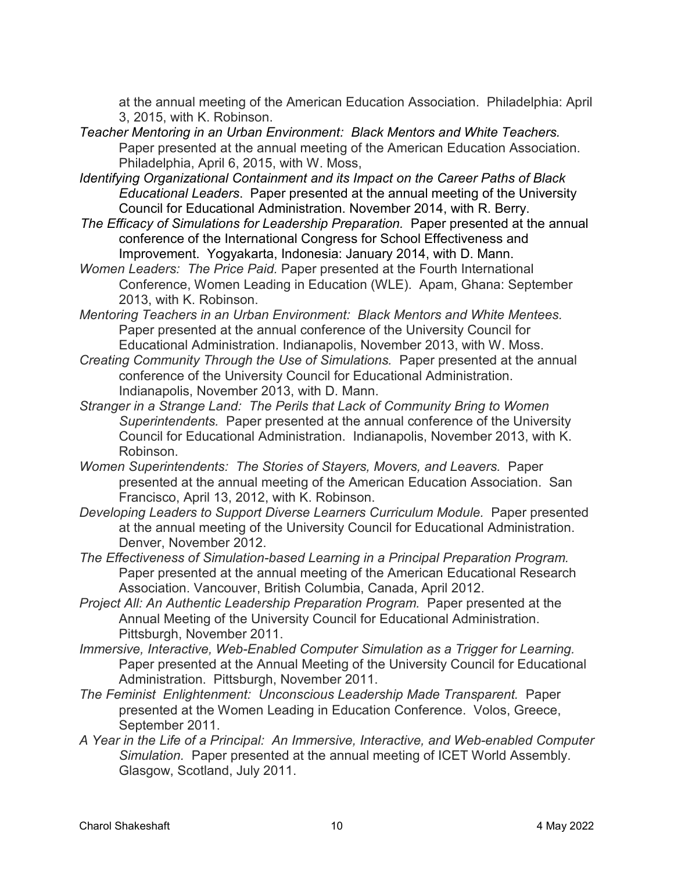at the annual meeting of the American Education Association. Philadelphia: April 3, 2015, with K. Robinson.

- *Teacher Mentoring in an Urban Environment: Black Mentors and White Teachers.*  Paper presented at the annual meeting of the American Education Association. Philadelphia, April 6, 2015, with W. Moss,
- *Educational Leaders*. Paper presented at the annual meeting of the University *Identifying Organizational Containment and its Impact on the Career Paths of Black*  Council for Educational Administration. November 2014, with R. Berry.
- The Efficacy of Simulations for Leadership Preparation. Paper presented at the annual Improvement. Yogyakarta, Indonesia: January 2014, with D. Mann. conference of the International Congress for School Effectiveness and
- Conference, Women Leading in Education (WLE). Apam, Ghana: September 2013, with K. Robinson. *Women Leaders: The Price Paid.* Paper presented at the Fourth International
- *Mentoring Teachers in an Urban Environment: Black Mentors and White Mentees.*  Educational Administration. Indianapolis, November 2013, with W. Moss. Paper presented at the annual conference of the University Council for
- *Creating Community Through the Use of Simulations.* Paper presented at the annual conference of the University Council for Educational Administration.<br>Indianapolis, November 2013, with D. Mann. Indianapolis, November 2013, with D. Mann.
- *Superintendents.* Paper presented at the annual conference of the University *Stranger in a Strange Land: The Perils that Lack of Community Bring to Women*  Council for Educational Administration. Indianapolis, November 2013, with K. Robinson.
- *Women Superintendents: The Stories of Stayers, Movers, and Leavers.* Paper Francisco, April 13, 2012, with K. Robinson. presented at the annual meeting of the American Education Association. San
- *Developing Leaders to Support Diverse Learners Curriculum Module.* Paper presented at the annual meeting of the University Council for Educational Administration. Denver, November 2012.
- *The Effectiveness of Simulation-based Learning in a Principal Preparation Program.*  Paper presented at the annual meeting of the American Educational Research Association. Vancouver, British Columbia, Canada, April 2012.
- *Project All: An Authentic Leadership Preparation Program.* Paper presented at the Annual Meeting of the University Council for Educational Administration.<br>Pittsburgh, November 2011.
- *Immersive, Interactive, Web-Enabled Computer Simulation as a Trigger for Learning.*  Paper presented at the Annual Meeting of the University Council for Educational Administration. Pittsburgh, November 2011.
- presented at the Women Leading in Education Conference. Volos, Greece, *The Feminist Enlightenment: Unconscious Leadership Made Transparent.* Paper September 2011.
- *Simulation.* Paper presented at the annual meeting of ICET World Assembly. *A Year in the Life of a Principal: An Immersive, Interactive, and Web-enabled Computer*  Glasgow, Scotland, July 2011.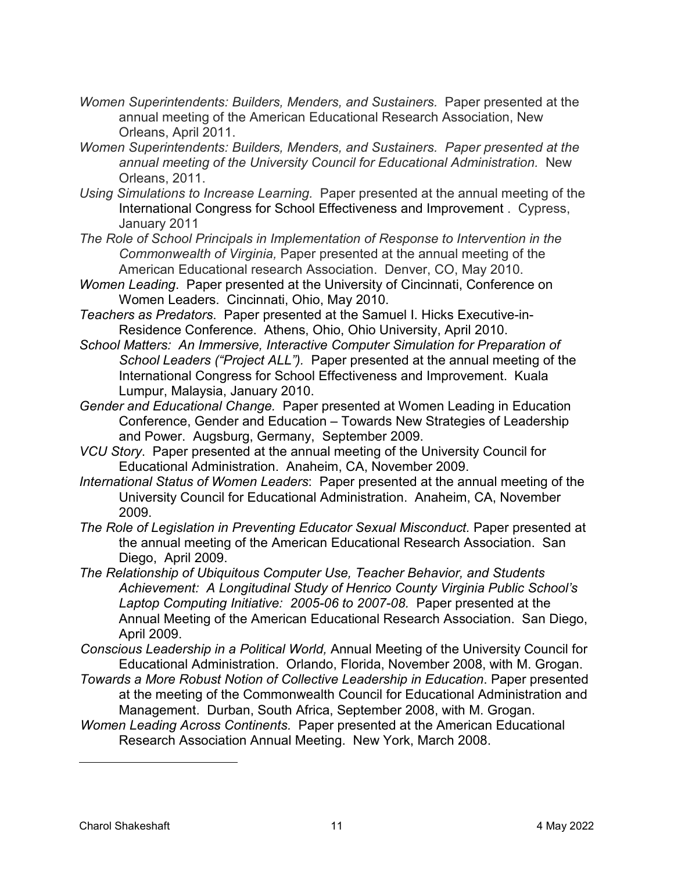- *Women Superintendents: Builders, Menders, and Sustainers.* Paper presented at the Orleans, April 2011. annual meeting of the American Educational Research Association, New
- *Women Superintendents: Builders, Menders, and Sustainers. Paper presented at the annual meeting of the University Council for Educational Administration.* New  Orleans, 2011.
- *Using Simulations to Increase Learning.* Paper presented at the annual meeting of the International Congress for School Effectiveness and Improvement . Cypress, January 2011
- American Educational research Association. Denver, CO, May 2010. *The Role of School Principals in Implementation of Response to Intervention in the Commonwealth of Virginia,* Paper presented at the annual meeting of the
- *Women Leading*. Paper presented at the University of Cincinnati, Conference on Women Leaders. Cincinnati, Ohio, May 2010.
- *Teachers as Predators*. Paper presented at the Samuel I. Hicks Executive-in-Residence Conference. Athens, Ohio, Ohio University, April 2010.
- *School Leaders ("Project ALL").* Paper presented at the annual meeting of the *School Matters: An Immersive, Interactive Computer Simulation for Preparation of*  International Congress for School Effectiveness and Improvement. Kuala Lumpur, Malaysia, January 2010.
- *Gender and Educational Change.* Paper presented at Women Leading in Education and Power. Augsburg, Germany, September 2009. Conference, Gender and Education – Towards New Strategies of Leadership
- *VCU Story*. Paper presented at the annual meeting of the University Council for Educational Administration. Anaheim, CA, November 2009.
- *International Status of Women Leaders*: Paper presented at the annual meeting of the University Council for Educational Administration. Anaheim, CA, November 2009.
- the annual meeting of the American Educational Research Association. San Diego, April 2009. *The Role of Legislation in Preventing Educator Sexual Misconduct.* Paper presented at
- *Laptop Computing Initiative: 2005-06 to 2007-08.* Paper presented at the *The Relationship of Ubiquitous Computer Use, Teacher Behavior, and Students Achievement: A Longitudinal Study of Henrico County Virginia Public School's*  Annual Meeting of the American Educational Research Association. San Diego, April 2009.
- Educational Administration. Orlando, Florida, November 2008, with M. Grogan. *Conscious Leadership in a Political World,* Annual Meeting of the University Council for
- *Towards a More Robust Notion of Collective Leadership in Education*. Paper presented [at the meeting of the Commonwealth Council for Educatio](#page-10-0)nal Administration and Management. Durban, South Africa, September 2008, with M. Grogan.
- *Women Leading Across Continents.* Paper presented at the American Educational Research Association Annual Meeting. New York, March 2008.

<span id="page-10-0"></span> $\overline{a}$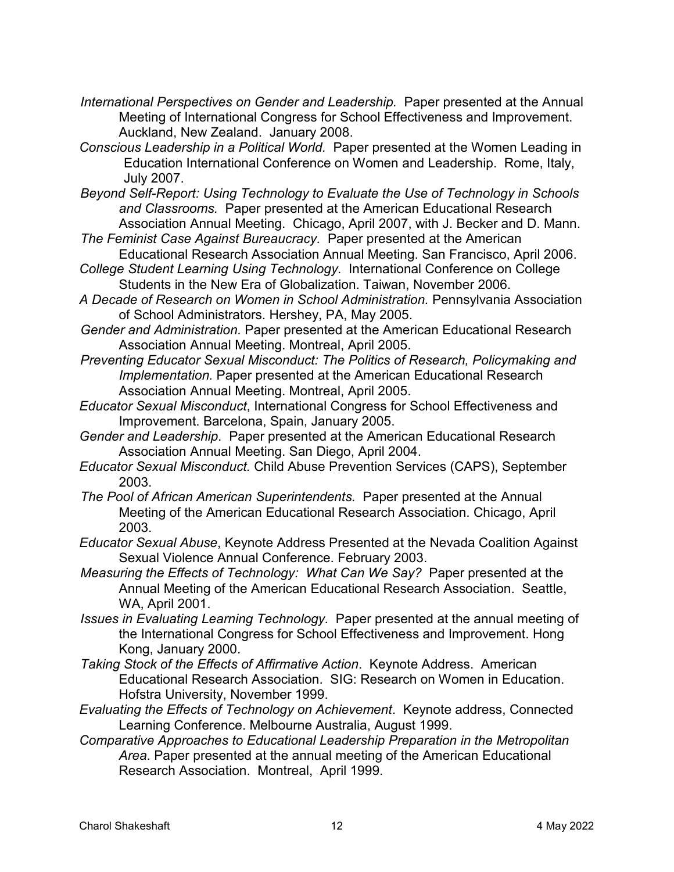- International Perspectives on Gender and Leadership. Paper presented at the Annual Meeting of International Congress for School Effectiveness and Improvement.<br>Auckland, New Zealand. January 2008.
- *Conscious Leadership in a Political World.* Paper presented at the Women Leading in Education International Conference on Women and Leadership. Rome, Italy, July 2007.
- *and Classrooms.* Paper presented at the American Educational Research *Beyond Self-Report: Using Technology to Evaluate the Use of Technology in Schools*  Association Annual Meeting. Chicago, April 2007, with J. Becker and D. Mann.
- *The Feminist Case Against Bureaucracy.* Paper presented at the American Educational Research Association Annual Meeting. San Francisco, April 2006.
- *College Student Learning Using Technology*. International Conference on College Students in the New Era of Globalization. Taiwan, November 2006.
- of School Administrators. Hershey, PA, May 2005. *A Decade of Research on Women in School Administration.* Pennsylvania Association
- *Gender and Administration.* Paper presented at the American Educational Research Association Annual Meeting. Montreal, April 2005.
- *Implementation.* Paper presented at the American Educational Research Association Annual Meeting. Montreal, April 2005. *Preventing Educator Sexual Misconduct: The Politics of Research, Policymaking and*
- *Educator Sexual Misconduct*, International Congress for School Effectiveness and Improvement. Barcelona, Spain, January 2005.
- Association Annual Meeting. San Diego, April 2004. *Gender and Leadership*. Paper presented at the American Educational Research
- *Educator Sexual Misconduct.* Child Abuse Prevention Services (CAPS), September 2003.
- *The Pool of African American Superintendents.* Paper presented at the Annual Meeting of the American Educational Research Association. Chicago, April 2003.
- *Educator Sexual Abuse*, Keynote Address Presented at the Nevada Coalition Against Sexual Violence Annual Conference. February 2003.
- *Measuring the Effects of Technology: What Can We Say?* Paper presented at the Annual Meeting of the American Educational Research Association. Seattle, WA, April 2001.
- *Issues in Evaluating Learning Technology.* Paper presented at the annual meeting of the International Congress for School Effectiveness and Improvement. Hong Kong, January 2000.
- *Taking Stock of the Effects of Affirmative Action*. Keynote Address. American Educational Research Association. SIG: Research on Women in Education. Hofstra University, November 1999.
- *Evaluating the Effects of Technology on Achievement*. Keynote address, Connected Learning Conference. Melbourne Australia, August 1999.
- *Area*. Paper presented at the annual meeting of the American Educational Research Association. Montreal, April 1999. *Comparative Approaches to Educational Leadership Preparation in the Metropolitan*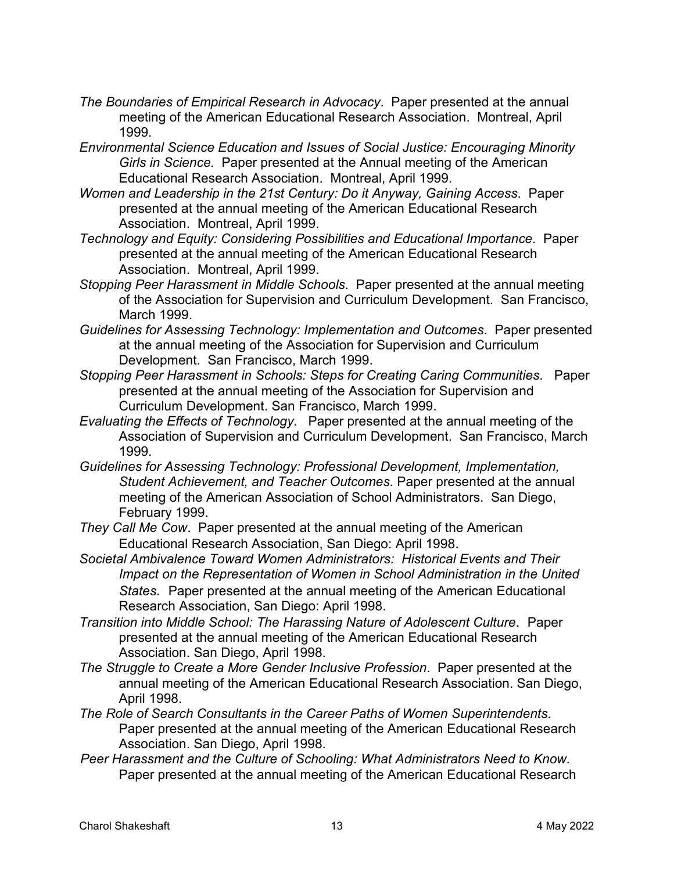- *The Boundaries of Empirical Research in Advocacy*. Paper presented at the annual meeting of the American Educational Research Association. Montreal, April 1999.
- *Girls in Science.* Paper presented at the Annual meeting of the American Educational Research Association. Montreal, April 1999. *Environmental Science Education and Issues of Social Justice: Encouraging Minority*
- *Women and Leadership in the 21st Century: Do it Anyway, Gaining Access*. Paper presented at the annual meeting of the American Educational Research Association. Montreal, April 1999.
- Association. Montreal, April 1999. *Technology and Equity: Considering Possibilities and Educational Importance*. Paper presented at the annual meeting of the American Educational Research
- Stopping Peer Harassment in Middle Schools. Paper presented at the annual meeting *Stopping Peer Harassment in Middle Schools*. Paper presented at the annual meeting of the Association for Supervision and Curriculum Development. San Francisco, March 1999.
- Development. San Francisco, March 1999. *Guidelines for Assessing Technology: Implementation and Outcomes*. Paper presented at the annual meeting of the Association for Supervision and Curriculum
- *Stopping Peer Harassment in Schools: Steps for Creating Caring Communities. Paper*<br>presented at the annual meeting of the Association for Supervision and Curriculum Development. San Francisco, March 1999.
- *Evaluating the Effects of Technology*. Paper presented at the annual meeting of the Association of Supervision and Curriculum Development. San Francisco, March 1999.
- *Guidelines for Assessing Technology: Professional Development, Implementation, Student Achievement, and Teacher Outcomes*. Paper presented at the annual meeting of the American Association of School Administrators. San Diego, February 1999.
- *They Call Me Cow*. Paper presented at the annual meeting of the American Educational Research Association, San Diego: April 1998.
- *Impact on the Representation of Women in School Administration in the United*<br>*States.* Paper presented at the annual meeting of the American Educational Research Association, San Diego: April 1998. *Societal Ambivalence Toward Women Administrators: Historical Events and Their*
- Association. San Diego, April 1998. *Transition into Middle School: The Harassing Nature of Adolescent Culture*. Paper presented at the annual meeting of the American Educational Research
- annual meeting of the American Educational Research Association. San Diego, *The Struggle to Create a More Gender Inclusive Profession*. Paper presented at the April 1998.
- The Role of Search Consultants in the Career Paths of Women Superintendents. *The Role of Search Consultants in the Career Paths of Women Superintendents*. Paper presented at the annual meeting of the American Educational Research Association. San Diego, April 1998.
- Paper presented at the annual meeting of the American Educational Research *Peer Harassment and the Culture of Schooling: What Administrators Need to Know.*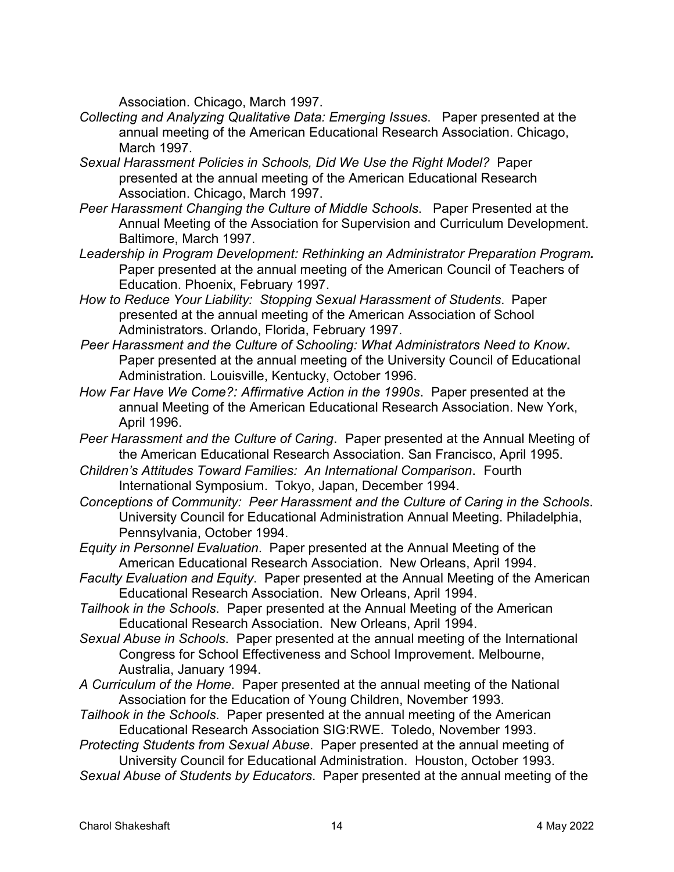Association. Chicago, March 1997.

- *Collecting and Analyzing Qualitative Data: Emerging Issues*. Paper presented at the annual meeting of the American Educational Research Association. Chicago, March 1997.
- *Sexual Harassment Policies in Schools, Did We Use the Right Model?* Paper presented at the annual meeting of the American Educational Research Association. Chicago, March 1997.
- *Peer Harassment Changing the Culture of Middle Schools*. Paper Presented at the Annual Meeting of the Association for Supervision and Curriculum Development.<br>Baltimore, March 1997.
- *Leadership in Program Development: Rethinking an Administrator Preparation Program.*  Paper presented at the annual meeting of the American Council of Teachers of Education. Phoenix, February 1997.
- *How to Reduce Your Liability: Stopping Sexual Harassment of Students*. Paper presented at the annual meeting of the American Association of School Administrators. Orlando, Florida, February 1997.
- Paper presented at the annual meeting of the University Council of Educational Administration. Louisville, Kentucky, October 1996. *Peer Harassment and the Culture of Schooling: What Administrators Need to Know***.**
- *How Far Have We Come?: Affirmative Action in the 1990s*. Paper presented at the annual Meeting of the American Educational Research Association. New York, April 1996.
- *Peer Harassment and the Culture of Caring*. Paper presented at the Annual Meeting of the American Educational Research Association. San Francisco, April 1995.
- International Symposium. Tokyo, Japan, December 1994. *Children's Attitudes Toward Families: An International Comparison*. Fourth
- *Conceptions of Community: Peer Harassment and the Culture of Caring in the Schools*. University Council for Educational Administration Annual Meeting. Philadelphia, Pennsylvania, October 1994.
- *Equity in Personnel Evaluation*. Paper presented at the Annual Meeting of the American Educational Research Association. New Orleans, April 1994.
- *Faculty Evaluation and Equity*. Paper presented at the Annual Meeting of the American Educational Research Association. New Orleans, April 1994.
- *Tailhook in the Schools*. Paper presented at the Annual Meeting of the American Educational Research Association. New Orleans, April 1994.
- *Sexual Abuse in Schools*. Paper presented at the annual meeting of the International Congress for School Effectiveness and School Improvement. Melbourne, Australia, January 1994.
- *A Curriculum of the Home*. Paper presented at the annual meeting of the National Association for the Education of Young Children, November 1993.
- *Tailhook in the Schools*. Paper presented at the annual meeting of the American Educational Research Association SIG:RWE. Toledo, November 1993.
- *Protecting Students from Sexual Abuse*. Paper presented at the annual meeting of University Council for Educational Administration. Houston, October 1993.
- *Sexual Abuse of Students by Educators*. Paper presented at the annual meeting of the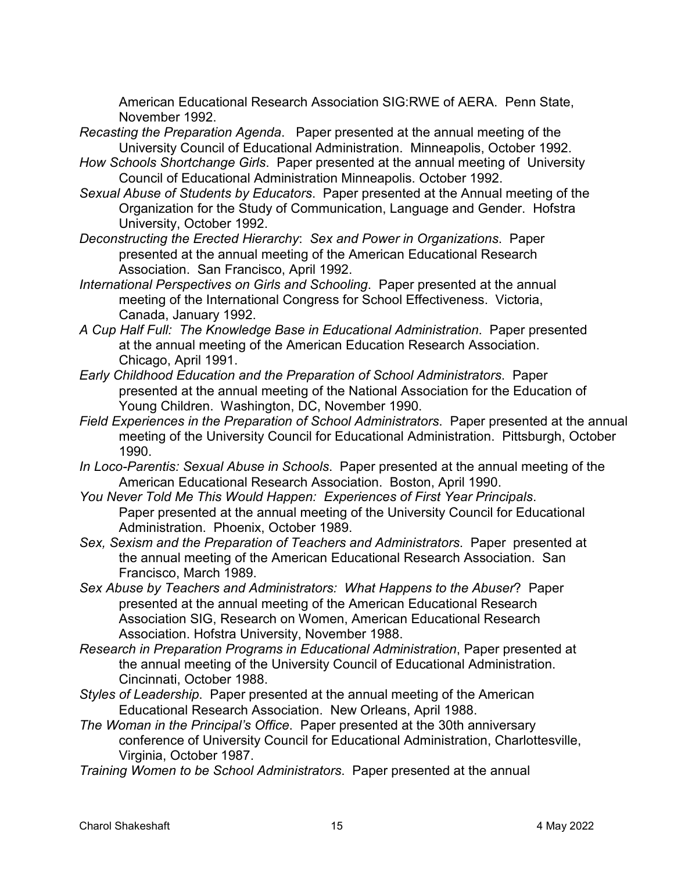November 1992. American Educational Research Association SIG:RWE of AERA. Penn State,

- *Recasting the Preparation Agenda*. Paper presented at the annual meeting of the University Council of Educational Administration. Minneapolis, October 1992.
- *How Schools Shortchange Girls*. Paper presented at the annual meeting of University Council of Educational Administration Minneapolis. October 1992.
- Organization for the Study of Communication, Language and Gender. Hofstra *Sexual Abuse of Students by Educators*. Paper presented at the Annual meeting of the University, October 1992.
- Association. San Francisco, April 1992. *Deconstructing the Erected Hierarchy*: *Sex and Power in Organizations*. Paper presented at the annual meeting of the American Educational Research
- *International Perspectives on Girls and Schooling*. Paper presented at the annual meeting of the International Congress for School Effectiveness. Victoria, Canada, January 1992.
- at the annual meeting of the American Education Research Association.<br>Chicago, April 1991. *A Cup Half Full: The Knowledge Base in Educational Administration*. Paper presented
- Young Children. Washington, DC, November 1990. *Early Childhood Education and the Preparation of School Administrators*. Paper presented at the annual meeting of the National Association for the Education of
- *Field Experiences in the Preparation of School Administrators*. Paper presented at the annual meeting of the University Council for Educational Administration. Pittsburgh, October 1990.
- *In Loco-Parentis: Sexual Abuse in Schools*. Paper presented at the annual meeting of the American Educational Research Association. Boston, April 1990.
- Paper presented at the annual meeting of the University Council for Educational *You Never Told Me This Would Happen: Experiences of First Year Principals*. Administration. Phoenix, October 1989.
- *Sex, Sexism and the Preparation of Teachers and Administrators*. Paper presented at the annual meeting of the American Educational Research Association. San Francisco, March 1989.
- *Sex Abuse by Teachers and Administrators: What Happens to the Abuser*? Paper presented at the annual meeting of the American Educational Research Association SIG, Research on Women, American Educational Research Association. Hofstra University, November 1988.
- the annual meeting of the University Council of Educational Administration. *Research in Preparation Programs in Educational Administration*, Paper presented at Cincinnati, October 1988.
- *Styles of Leadership*. Paper presented at the annual meeting of the American Educational Research Association. New Orleans, April 1988.
- *The Woman in the Principal's Office*. Paper presented at the 30th anniversary conference of University Council for Educational Administration, Charlottesville, Virginia, October 1987.
- *Training Women to be School Administrators*. Paper presented at the annual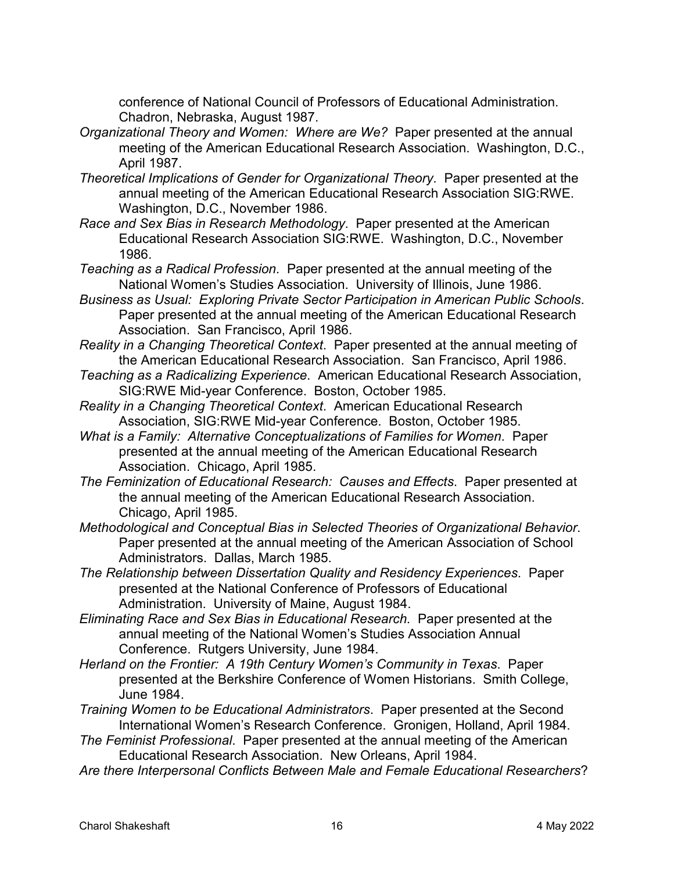conference of National Council of Professors of Educational Administration. Chadron, Nebraska, August 1987.

- *Organizational Theory and Women: Where are We?* Paper presented at the annual meeting of the American Educational Research Association. Washington, D.C., April 1987.
- *Theoretical Implications of Gender for Organizational Theory*. Paper presented at the annual meeting of the American Educational Research Association SIG:RWE. Washington, D.C., November 1986.
- Educational Research Association SIG:RWE. Washington, D.C., November *Race and Sex Bias in Research Methodology*. Paper presented at the American 1986.
- *Teaching as a Radical Profession*. Paper presented at the annual meeting of the National Women's Studies Association. University of Illinois, June 1986.
- Paper presented at the annual meeting of the American Educational Research Association. San Francisco, April 1986. *Business as Usual: Exploring Private Sector Participation in American Public Schools*.
- *Reality in a Changing Theoretical Context*. Paper presented at the annual meeting of the American Educational Research Association. San Francisco, April 1986.
- SIG:RWE Mid-year Conference. Boston, October 1985. *Teaching as a Radicalizing Experience*. American Educational Research Association,
- *Reality in a Changing Theoretical Context*. American Educational Research Association, SIG:RWE Mid-year Conference. Boston, October 1985.
- *What is a Family: Alternative Conceptualizations of Families for Women*. Paper presented at the annual meeting of the American Educational Research Association. Chicago, April 1985.
- *The Feminization of Educational Research: Causes and Effects*. Paper presented at the annual meeting of the American Educational Research Association. Chicago, April 1985.
- Paper presented at the annual meeting of the American Association of School *Methodological and Conceptual Bias in Selected Theories of Organizational Behavior*. Administrators. Dallas, March 1985.
- *The Relationship between Dissertation Quality and Residency Experiences*. Paper presented at the National Conference of Professors of Educational Administration. University of Maine, August 1984.
- Conference. Rutgers University, June 1984. *Eliminating Race and Sex Bias in Educational Research*. Paper presented at the annual meeting of the National Women's Studies Association Annual
- *Herland on the Frontier: A 19th Century Women's Community in Texas*. Paper presented at the Berkshire Conference of Women Historians. Smith College, June 1984.
- *Training Women to be Educational Administrators*. Paper presented at the Second International Women's Research Conference. Gronigen, Holland, April 1984.
- *The Feminist Professional*. Paper presented at the annual meeting of the American Educational Research Association. New Orleans, April 1984.
- *Are there Interpersonal Conflicts Between Male and Female Educational Researchers*?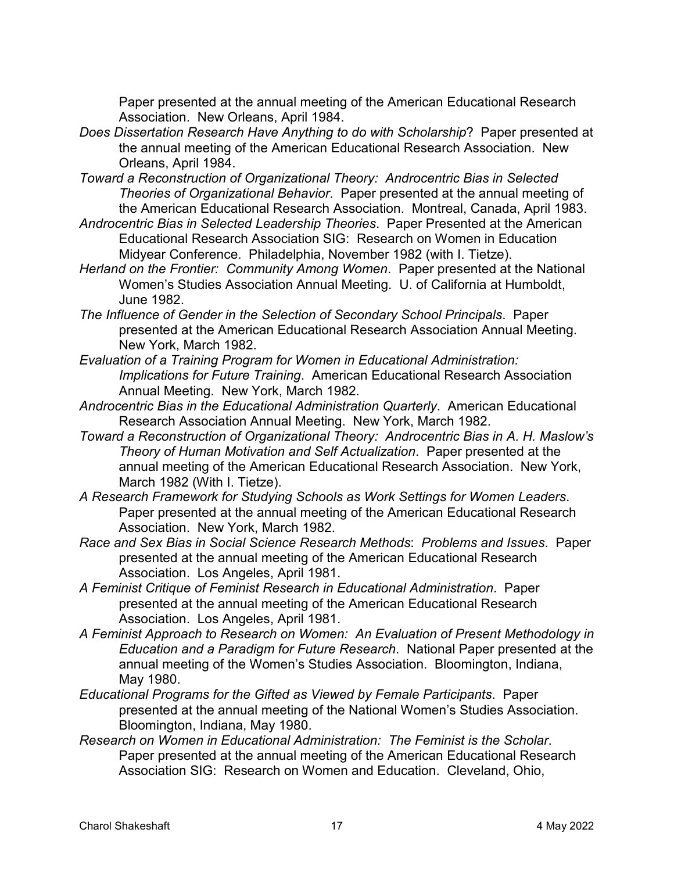Paper presented at the annual meeting of the American Educational Research Association. New Orleans, April 1984.

- the annual meeting of the American Educational Research Association. New *Does Dissertation Research Have Anything to do with Scholarship*? Paper presented at Orleans, April 1984.
- *Toward a Reconstruction of Organizational Theory: Androcentric Bias in Selected Theories of Organizational Behavior*. Paper presented at the annual meeting of the American Educational Research Association. Montreal, Canada, April 1983.
- *Androcentric Bias in Selected Leadership Theories*. Paper Presented at the American Midyear Conference. Philadelphia, November 1982 (with I. Tietze). Educational Research Association SIG: Research on Women in Education
- *Herland on the Frontier: Community Among Women*. Paper presented at the National Women's Studies Association Annual Meeting. U. of California at Humboldt, June 1982.
- presented at the American Educational Research Association Annual Meeting.<br>New York, March 1982. *The Influence of Gender in the Selection of Secondary School Principals*. Paper
- **Evaluation of a Training Program for Women in Educational Administration:**  *Evaluation of a Training Program for Women in Educational Administration: Implications for Future Training*. American Educational Research Association Annual Meeting. New York, March 1982.
- *Androcentric Bias in the Educational Administration Quarterly*. American Educational Research Association Annual Meeting. New York, March 1982.
- *Toward a Reconstruction of Organizational Theory: Androcentric Bias in A. H. Maslow's*  annual meeting of the American Educational Research Association. New York, *Theory of Human Motivation and Self Actualization*. Paper presented at the March 1982 (With I. Tietze).
- *A Research Framework for Studying Schools as Work Settings for Women Leaders*. Paper presented at the annual meeting of the American Educational Research Association. New York, March 1982.
- Association. Los Angeles, April 1981. *Race and Sex Bias in Social Science Research Methods*: *Problems and Issues*. Paper presented at the annual meeting of the American Educational Research
- *A Feminist Critique of Feminist Research in Educational Administration*. Paper Association. Los Angeles, April 1981. presented at the annual meeting of the American Educational Research
- annual meeting of the Women's Studies Association. Bloomington, Indiana, *A Feminist Approach to Research on Women: An Evaluation of Present Methodology in Education and a Paradigm for Future Research*. National Paper presented at the May 1980.
- presented at the annual meeting of the National Women's Studies Association.<br>Bloomington, Indiana, May 1980. *Educational Programs for the Gifted as Viewed by Female Participants*. Paper
- Paper presented at the annual meeting of the American Educational Research Association SIG: Research on Women and Education. Cleveland, Ohio,<br>Charol Shakeshaft 17 17 17 19 4 May 2022 *Research on Women in Educational Administration: The Feminist is the Scholar*.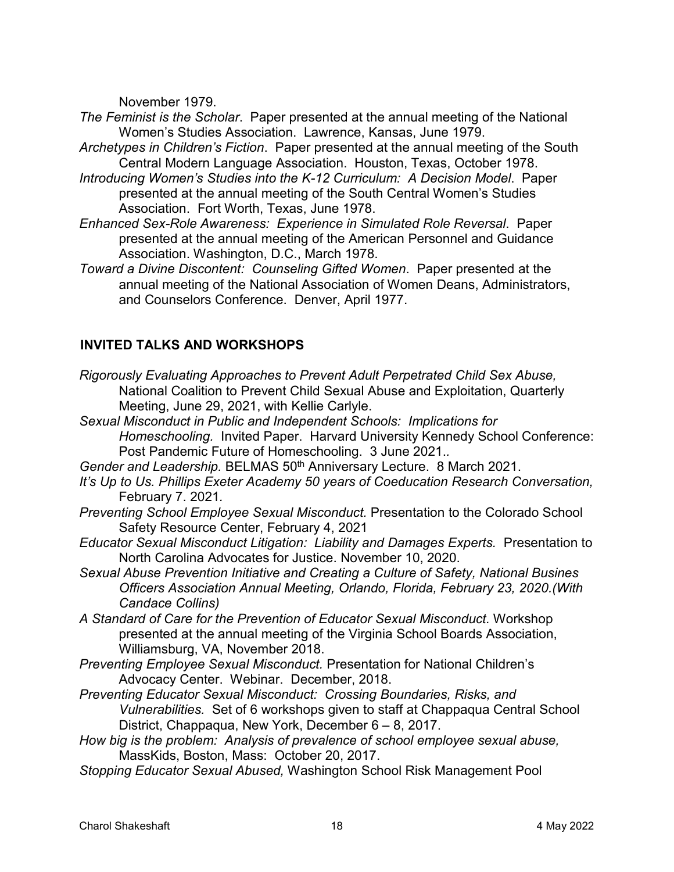November 1979.

- *The Feminist is the Scholar*. Paper presented at the annual meeting of the National Women's Studies Association. Lawrence, Kansas, June 1979.
- *Archetypes in Children's Fiction*. Paper presented at the annual meeting of the South Central Modern Language Association. Houston, Texas, October 1978.
- Association. Fort Worth, Texas, June 1978. *Introducing Women's Studies into the K-12 Curriculum: A Decision Model*. Paper presented at the annual meeting of the South Central Women's Studies
- *Enhanced Sex-Role Awareness: Experience in Simulated Role Reversal*. Paper presented at the annual meeting of the American Personnel and Guidance Association. Washington, D.C., March 1978.
- annual meeting of the National Association of Women Deans, Administrators, *Toward a Divine Discontent: Counseling Gifted Women*. Paper presented at the and Counselors Conference. Denver, April 1977.

# **INVITED TALKS AND WORKSHOPS**

- *Rigorously Evaluating Approaches to Prevent Adult Perpetrated Child Sex Abuse,*  National Coalition to Prevent Child Sexual Abuse and Exploitation, Quarterly Meeting, June 29, 2021, with Kellie Carlyle.
- *Homeschooling.* Invited Paper. Harvard University Kennedy School Conference: Post Pandemic Future of Homeschooling. 3 June 2021.*. Sexual Misconduct in Public and Independent Schools: Implications for*
- *Gender and Leadership.* BELMAS 50th Anniversary Lecture. 8 March 2021.
- *It's Up to Us. Phillips Exeter Academy 50 years of Coeducation Research Conversation,*  February 7. 2021*.*
- *Preventing School Employee Sexual Misconduct.* Presentation to the Colorado School Safety Resource Center, February 4, 2021
- *Educator Sexual Misconduct Litigation: Liability and Damages Experts.* Presentation to North Carolina Advocates for Justice. November 10, 2020.
- *Sexual Abuse Prevention Initiative and Creating a Culture of Safety, National Busines Officers Association Annual Meeting, Orlando, Florida, February 23, 2020.(With Candace Collins)*
- Williamsburg, VA, November 2018. *A Standard of Care for the Prevention of Educator Sexual Misconduct.* Workshop presented at the annual meeting of the Virginia School Boards Association,
- Advocacy Center. Webinar. December, 2018. *Preventing Employee Sexual Misconduct.* Presentation for National Children's
- *Vulnerabilities.* Set of 6 workshops given to staff at Chappaqua Central School District, Chappaqua, New York, December 6 – 8, 2017. *Preventing Educator Sexual Misconduct: Crossing Boundaries, Risks, and*
- *How big is the problem: Analysis of prevalence of school employee sexual abuse,*  MassKids, Boston, Mass: October 20, 2017.
- *Stopping Educator Sexual Abused,* Washington School Risk Management Pool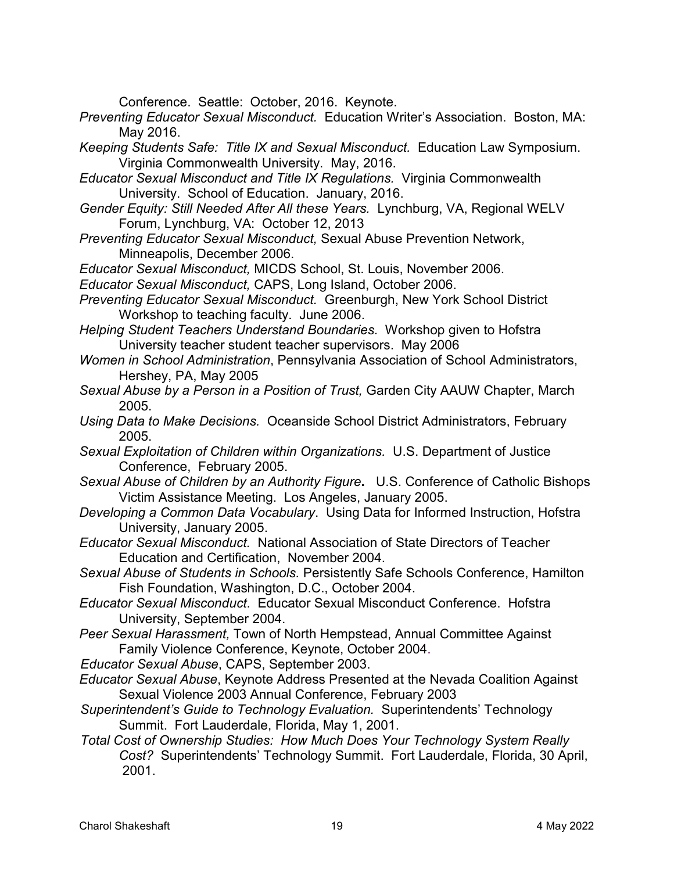Conference. Seattle: October, 2016. Keynote.

- *Preventing Educator Sexual Misconduct.* Education Writer's Association. Boston, MA: May 2016.
- *Keeping Students Safe: Title IX and Sexual Misconduct.* Education Law Symposium. Virginia Commonwealth University. May, 2016.
- *Educator Sexual Misconduct and Title IX Regulations.* Virginia Commonwealth University. School of Education. January, 2016.
- *Gender Equity: Still Needed After All these Years.* Lynchburg, VA, Regional WELV Forum, Lynchburg, VA: October 12, 2013
- Minneapolis, December 2006. *Preventing Educator Sexual Misconduct,* Sexual Abuse Prevention Network,
- *Educator Sexual Misconduct,* MICDS School, St. Louis, November 2006.
- *Educator Sexual Misconduct,* CAPS, Long Island, October 2006.
- *Preventing Educator Sexual Misconduct.* Greenburgh, New York School District Workshop to teaching faculty. June 2006.
- *Helping Student Teachers Understand Boundaries.* Workshop given to Hofstra University teacher student teacher supervisors. May 2006
- *Women in School Administration*, Pennsylvania Association of School Administrators, Hershey, PA, May 2005
- *Sexual Abuse by a Person in a Position of Trust,* Garden City AAUW Chapter, March 2005.
- *Using Data to Make Decisions.* Oceanside School District Administrators, February 2005.
- *Sexual Exploitation of Children within Organizations.* U.S. Department of Justice Conference, February 2005.
- *Sexual Abuse of Children by an Authority Figure***.** U.S. Conference of Catholic Bishops Victim Assistance Meeting. Los Angeles, January 2005.
- *Developing a Common Data Vocabulary*. Using Data for Informed Instruction, Hofstra University, January 2005.
- *Educator Sexual Misconduct.* National Association of State Directors of Teacher Education and Certification, November 2004.
- *Sexual Abuse of Students in Schools.* Persistently Safe Schools Conference, Hamilton Fish Foundation, Washington, D.C., October 2004.
- *Educator Sexual Misconduct*. Educator Sexual Misconduct Conference. Hofstra University, September 2004.
- *Peer Sexual Harassment,* Town of North Hempstead, Annual Committee Against Family Violence Conference, Keynote, October 2004.
- *Educator Sexual Abuse*, CAPS, September 2003.
- *Educator Sexual Abuse*, Keynote Address Presented at the Nevada Coalition Against Sexual Violence 2003 Annual Conference, February 2003
- *Superintendent's Guide to Technology Evaluation.* Superintendents' Technology Summit. Fort Lauderdale, Florida, May 1, 2001.
- $2001.$ *Total Cost of Ownership Studies: How Much Does Your Technology System Really Cost?* Superintendents' Technology Summit. Fort Lauderdale, Florida, 30 April, 2001.<br>Charol Shakeshaft 19 19 4 May 2022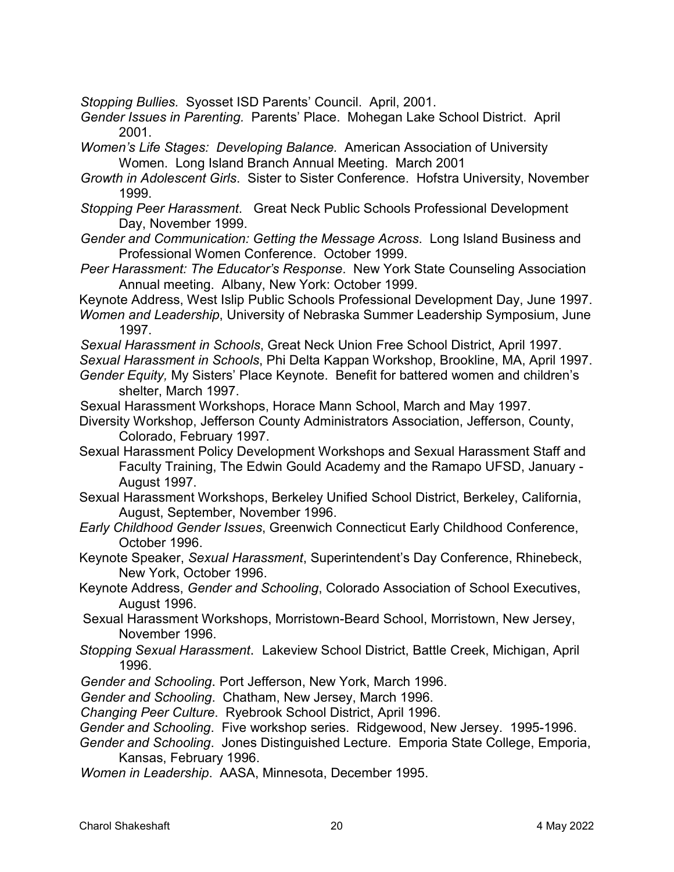*Stopping Bullies.* Syosset ISD Parents' Council. April, 2001.

- *Gender Issues in Parenting.* Parents' Place. Mohegan Lake School District. April 2001.
- *Women's Life Stages: Developing Balance.* American Association of University Women. Long Island Branch Annual Meeting. March 2001
- *Growth in Adolescent Girls*. Sister to Sister Conference. Hofstra University, November 1999.
- *Stopping Peer Harassment*. Great Neck Public Schools Professional Development Day, November 1999.
- *Gender and Communication: Getting the Message Across*. Long Island Business and Professional Women Conference. October 1999.
- *Peer Harassment: The Educator's Response*. New York State Counseling Association Annual meeting. Albany, New York: October 1999.

Keynote Address, West Islip Public Schools Professional Development Day, June 1997. *Women and Leadership*, University of Nebraska Summer Leadership Symposium, June

1997. *Sexual Harassment in Schools*, Great Neck Union Free School District, April 1997.

*Sexual Harassment in Schools*, Phi Delta Kappan Workshop, Brookline, MA, April 1997. *Gender Equity,* My Sisters' Place Keynote. Benefit for battered women and children's shelter, March 1997.

- Sexual Harassment Workshops, Horace Mann School, March and May 1997.
- Diversity Workshop, Jefferson County Administrators Association, Jefferson, County, Colorado, February 1997.
- Sexual Harassment Policy Development Workshops and Sexual Harassment Staff and Faculty Training, The Edwin Gould Academy and the Ramapo UFSD, January - August 1997.
- Sexual Harassment Workshops, Berkeley Unified School District, Berkeley, California, August, September, November 1996.
- *Early Childhood Gender Issues*, Greenwich Connecticut Early Childhood Conference, October 1996.
- Keynote Speaker, *Sexual Harassment*, Superintendent's Day Conference, Rhinebeck, New York, October 1996.
- Keynote Address, *Gender and Schooling*, Colorado Association of School Executives, August 1996.
- Sexual Harassment Workshops, Morristown-Beard School, Morristown, New Jersey, November 1996.
- *Stopping Sexual Harassment*. Lakeview School District, Battle Creek, Michigan, April 1996.
- *Gender and Schooling*. Port Jefferson, New York, March 1996.
- *Gender and Schooling*. Chatham, New Jersey, March 1996.

*Changing Peer Culture*. Ryebrook School District, April 1996.

- *Gender and Schooling*. Five workshop series. Ridgewood, New Jersey. 1995-1996.
- *Gender and Schooling*. Jones Distinguished Lecture. Emporia State College, Emporia, Kansas, February 1996.
- *Women in Leadership*. AASA, Minnesota, December 1995.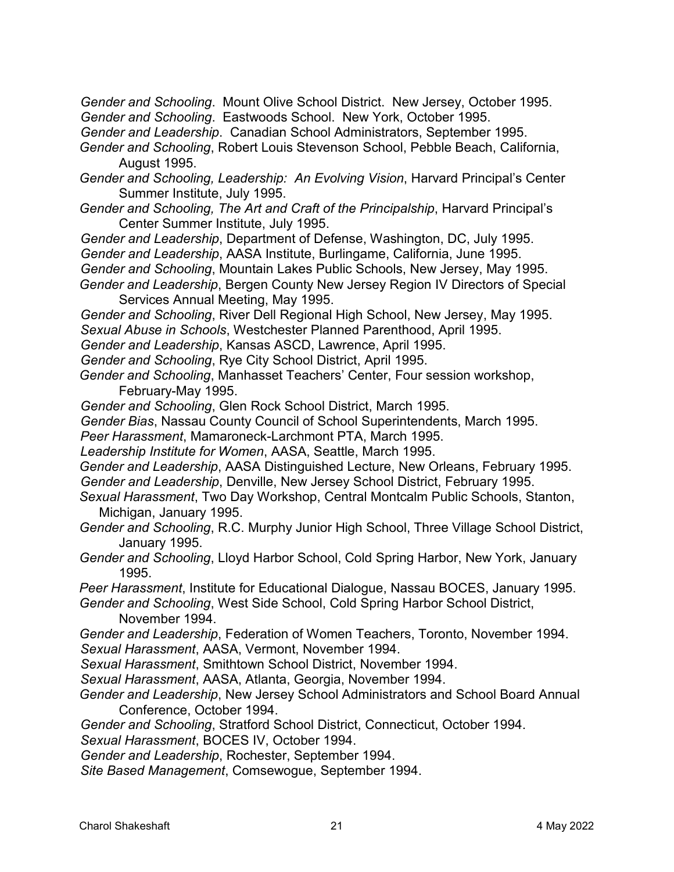*Gender and Schooling*. Eastwoods School. New York, October 1995. *Gender and Schooling*. Mount Olive School District. New Jersey, October 1995.

*Gender and Leadership*. Canadian School Administrators, September 1995.

- *Gender and Schooling*, Robert Louis Stevenson School, Pebble Beach, California, August 1995.
- *Gender and Schooling, Leadership: An Evolving Vision*, Harvard Principal's Center Summer Institute, July 1995.
- *Gender and Schooling, The Art and Craft of the Principalship*, Harvard Principal's Center Summer Institute, July 1995.
- *Gender and Leadership*, Bergen County New Jersey Region IV Directors of Special *Gender and Leadership*, Department of Defense, Washington, DC, July 1995. *Gender and Leadership*, AASA Institute, Burlingame, California, June 1995. *Gender and Schooling*, Mountain Lakes Public Schools, New Jersey, May 1995. Services Annual Meeting, May 1995.
- *Gender and Schooling*, River Dell Regional High School, New Jersey, May 1995. *Sexual Abuse in Schools*, Westchester Planned Parenthood, April 1995.
- *Gender and Leadership*, Kansas ASCD, Lawrence, April 1995.
- *Gender and Schooling*, Rye City School District, April 1995.
- *Gender and Schooling*, Manhasset Teachers' Center, Four session workshop, February-May 1995.
- *Gender and Schooling*, Glen Rock School District, March 1995.
- *Gender Bias*, Nassau County Council of School Superintendents, March 1995.
- *Peer Harassment*, Mamaroneck-Larchmont PTA, March 1995.
- *Leadership Institute for Women*, AASA, Seattle, March 1995.
- *Gender and Leadership*, AASA Distinguished Lecture, New Orleans, February 1995.
- *Gender and Leadership*, Denville, New Jersey School District, February 1995.
- *Sexual Harassment*, Two Day Workshop, Central Montcalm Public Schools, Stanton, Michigan, January 1995.
- *Gender and Schooling*, R.C. Murphy Junior High School, Three Village School District, January 1995.
- *Gender and Schooling*, Lloyd Harbor School, Cold Spring Harbor, New York, January 1995.

*Peer Harassment*, Institute for Educational Dialogue, Nassau BOCES, January 1995. *Gender and Schooling*, West Side School, Cold Spring Harbor School District,

November 1994.

*Gender and Leadership*, Federation of Women Teachers, Toronto, November 1994. *Sexual Harassment*, AASA, Vermont, November 1994.

*Sexual Harassment*, Smithtown School District, November 1994.

- *Sexual Harassment*, AASA, Atlanta, Georgia, November 1994.
- *Gender and Leadership*, New Jersey School Administrators and School Board Annual Conference, October 1994.
- *Gender and Schooling*, Stratford School District, Connecticut, October 1994.
- *Sexual Harassment*, BOCES IV, October 1994.

*Gender and Leadership*, Rochester, September 1994.

*Site Based Management*, Comsewogue, September 1994.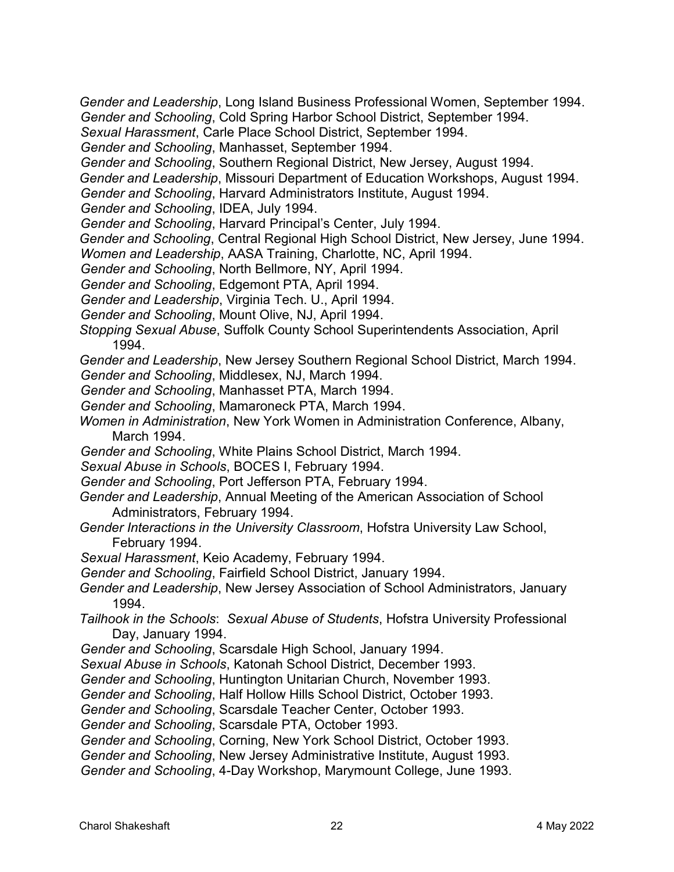*Gender and Schooling*, Cold Spring Harbor School District, September 1994. *Gender and Leadership*, Long Island Business Professional Women, September 1994.

*Sexual Harassment*, Carle Place School District, September 1994.

*Gender and Schooling*, Manhasset, September 1994.

*Gender and Schooling*, Southern Regional District, New Jersey, August 1994.

*Gender and Leadership*, Missouri Department of Education Workshops, August 1994.

*Gender and Schooling*, Harvard Administrators Institute, August 1994.

*Gender and Schooling*, IDEA, July 1994.

*Gender and Schooling*, Harvard Principal's Center, July 1994.

*Gender and Schooling*, Central Regional High School District, New Jersey, June 1994. *Women and Leadership*, AASA Training, Charlotte, NC, April 1994.

*Gender and Schooling*, North Bellmore, NY, April 1994.

*Gender and Schooling*, Edgemont PTA, April 1994.

*Gender and Leadership*, Virginia Tech. U., April 1994.

*Gender and Schooling*, Mount Olive, NJ, April 1994.

*Stopping Sexual Abuse*, Suffolk County School Superintendents Association, April 1994.

*Gender and Leadership*, New Jersey Southern Regional School District, March 1994. *Gender and Schooling*, Middlesex, NJ, March 1994.

*Gender and Schooling*, Manhasset PTA, March 1994.

*Gender and Schooling*, Mamaroneck PTA, March 1994.

 *Women in Administration*, New York Women in Administration Conference, Albany, March 1994.

*Gender and Schooling*, White Plains School District, March 1994.

*Sexual Abuse in Schools*, BOCES I, February 1994.

*Gender and Schooling*, Port Jefferson PTA, February 1994.

- *Gender and Leadership*, Annual Meeting of the American Association of School Administrators, February 1994.
- *Gender Interactions in the University Classroom*, Hofstra University Law School, February 1994.

*Sexual Harassment*, Keio Academy, February 1994.

*Gender and Schooling*, Fairfield School District, January 1994.

*Gender and Leadership*, New Jersey Association of School Administrators, January 1994.

*Tailhook in the Schools*: *Sexual Abuse of Students*, Hofstra University Professional Day, January 1994.

*Gender and Schooling*, Scarsdale High School, January 1994.

*Sexual Abuse in Schools*, Katonah School District, December 1993.

*Gender and Schooling*, Huntington Unitarian Church, November 1993.

*Gender and Schooling*, Half Hollow Hills School District, October 1993.

*Gender and Schooling*, Scarsdale Teacher Center, October 1993.

*Gender and Schooling*, Scarsdale PTA, October 1993.

*Gender and Schooling*, Corning, New York School District, October 1993.

*Gender and Schooling*, New Jersey Administrative Institute, August 1993.

*Gender and Schooling*, 4-Day Workshop, Marymount College, June 1993.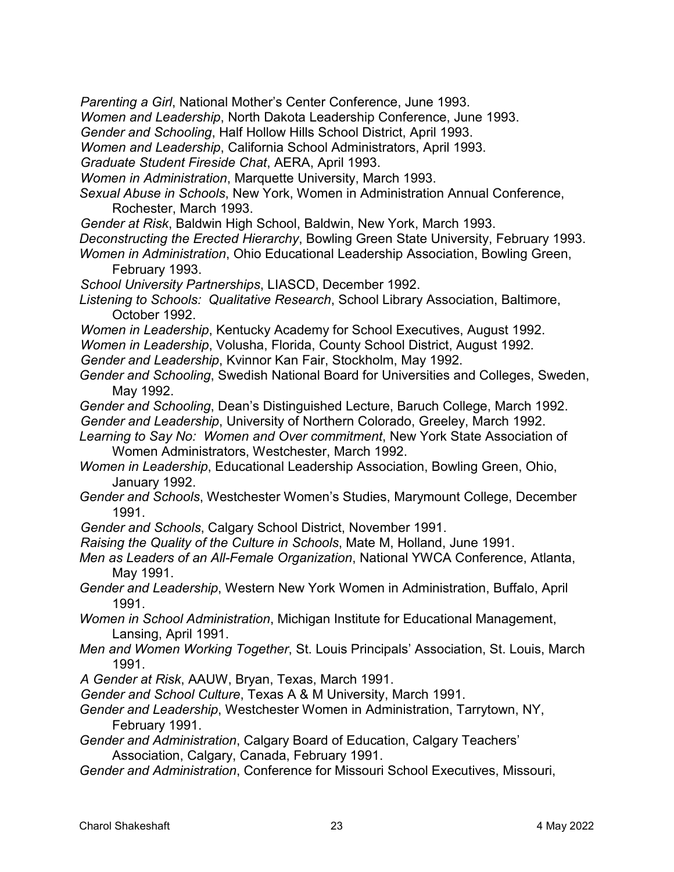*Parenting a Girl*, National Mother's Center Conference, June 1993.

*Women and Leadership*, North Dakota Leadership Conference, June 1993.

*Gender and Schooling*, Half Hollow Hills School District, April 1993.

*Women and Leadership*, California School Administrators, April 1993.

*Graduate Student Fireside Chat*, AERA, April 1993.

- *Women in Administration*, Marquette University, March 1993.
- *Sexual Abuse in Schools*, New York, Women in Administration Annual Conference, Rochester, March 1993.
- *Gender at Risk*, Baldwin High School, Baldwin, New York, March 1993.

*Deconstructing the Erected Hierarchy*, Bowling Green State University, February 1993.

- *Women in Administration*, Ohio Educational Leadership Association, Bowling Green, February 1993.
- *School University Partnerships*, LIASCD, December 1992.
- *Listening to Schools: Qualitative Research*, School Library Association, Baltimore, October 1992.
- *Women in Leadership*, Kentucky Academy for School Executives, August 1992.

*Women in Leadership*, Volusha, Florida, County School District, August 1992.

- *Gender and Leadership*, Kvinnor Kan Fair, Stockholm, May 1992.
- *Gender and Schooling*, Swedish National Board for Universities and Colleges, Sweden, May 1992.
- *Gender and Schooling*, Dean's Distinguished Lecture, Baruch College, March 1992. *Gender and Leadership*, University of Northern Colorado, Greeley, March 1992.
- *Learning to Say No: Women and Over commitment*, New York State Association of Women Administrators, Westchester, March 1992.
- *Women in Leadership*, Educational Leadership Association, Bowling Green, Ohio, January 1992.
- *Gender and Schools*, Westchester Women's Studies, Marymount College, December 1991.
- *Gender and Schools*, Calgary School District, November 1991.

*Raising the Quality of the Culture in Schools*, Mate M, Holland, June 1991.

*Men as Leaders of an All-Female Organization*, National YWCA Conference, Atlanta, May 1991.

 *Gender and Leadership*, Western New York Women in Administration, Buffalo, April 1991.

*Women in School Administration*, Michigan Institute for Educational Management, Lansing, April 1991.

- *Men and Women Working Together*, St. Louis Principals' Association, St. Louis, March 1991.
- *A Gender at Risk*, AAUW, Bryan, Texas, March 1991.

*Gender and School Culture*, Texas A & M University, March 1991.

- *Gender and Leadership*, Westchester Women in Administration, Tarrytown, NY, February 1991.
- *Gender and Administration*, Calgary Board of Education, Calgary Teachers' Association, Calgary, Canada, February 1991.
- *Gender and Administration*, Conference for Missouri School Executives, Missouri,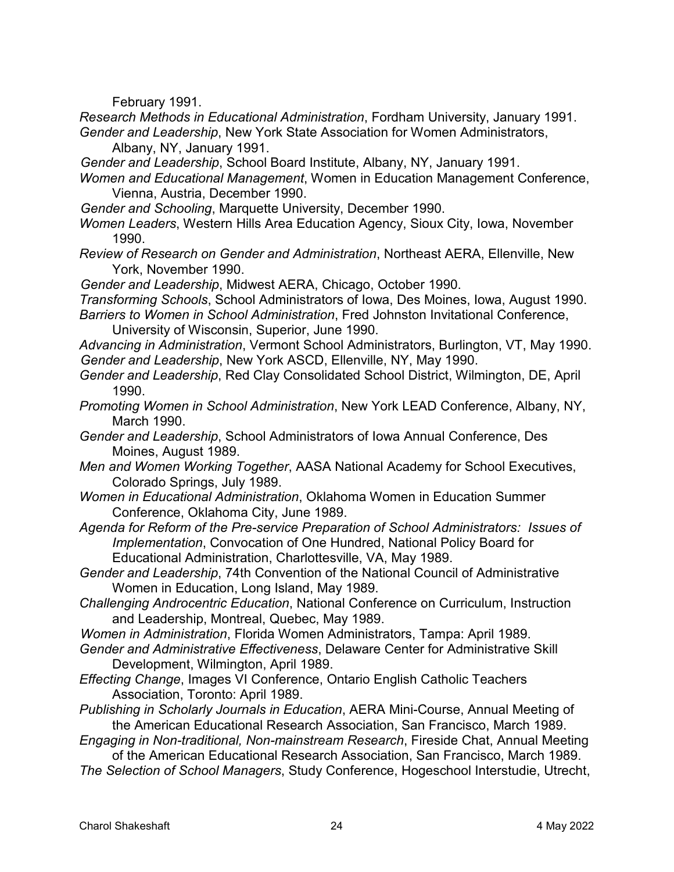February 1991.

 *Gender and Leadership*, New York State Association for Women Administrators, *Research Methods in Educational Administration*, Fordham University, January 1991.

Albany, NY, January 1991.

*Gender and Leadership*, School Board Institute, Albany, NY, January 1991.

*Women and Educational Management*, Women in Education Management Conference, Vienna, Austria, December 1990.

*Gender and Schooling*, Marquette University, December 1990.

- *Women Leaders*, Western Hills Area Education Agency, Sioux City, Iowa, November 1990.
- *Review of Research on Gender and Administration*, Northeast AERA, Ellenville, New York, November 1990.

*Gender and Leadership*, Midwest AERA, Chicago, October 1990.

- *Transforming Schools*, School Administrators of Iowa, Des Moines, Iowa, August 1990.
- *Barriers to Women in School Administration*, Fred Johnston Invitational Conference, University of Wisconsin, Superior, June 1990.

 *Advancing in Administration*, Vermont School Administrators, Burlington, VT, May 1990. *Gender and Leadership*, New York ASCD, Ellenville, NY, May 1990.

- *Gender and Leadership*, Red Clay Consolidated School District, Wilmington, DE, April 1990.
- *Promoting Women in School Administration*, New York LEAD Conference, Albany, NY, March 1990.
- *Gender and Leadership*, School Administrators of Iowa Annual Conference, Des Moines, August 1989.
- *Men and Women Working Together*, AASA National Academy for School Executives, Colorado Springs, July 1989.
- *Women in Educational Administration*, Oklahoma Women in Education Summer Conference, Oklahoma City, June 1989.
- *Agenda for Reform of the Pre-service Preparation of School Administrators: Issues of Implementation*, Convocation of One Hundred, National Policy Board for Educational Administration, Charlottesville, VA, May 1989.
- *Gender and Leadership*, 74th Convention of the National Council of Administrative Women in Education, Long Island, May 1989.
- *Challenging Androcentric Education*, National Conference on Curriculum, Instruction and Leadership, Montreal, Quebec, May 1989.
- *Women in Administration*, Florida Women Administrators, Tampa: April 1989.
- Development, Wilmington, April 1989. *Gender and Administrative Effectiveness*, Delaware Center for Administrative Skill
- *Effecting Change*, Images VI Conference, Ontario English Catholic Teachers Association, Toronto: April 1989.
- *Publishing in Scholarly Journals in Education*, AERA Mini-Course, Annual Meeting of the American Educational Research Association, San Francisco, March 1989.

*Engaging in Non-traditional, Non-mainstream Research*, Fireside Chat, Annual Meeting of the American Educational Research Association, San Francisco, March 1989.

*The Selection of School Managers*, Study Conference, Hogeschool Interstudie, Utrecht,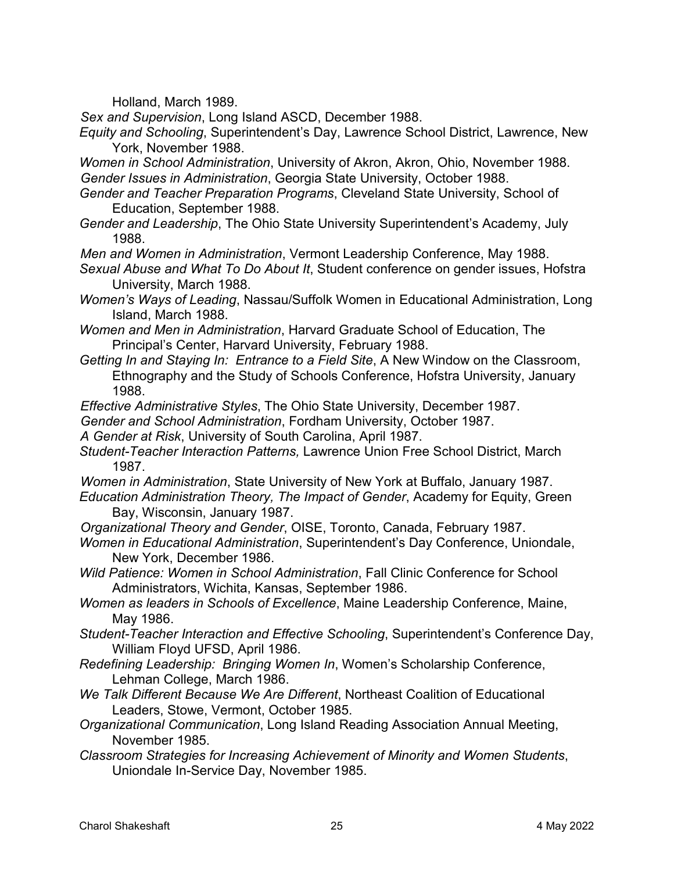Holland, March 1989.

- *Sex and Supervision*, Long Island ASCD, December 1988.
- *Equity and Schooling*, Superintendent's Day, Lawrence School District, Lawrence, New York, November 1988.
- *Women in School Administration*, University of Akron, Akron, Ohio, November 1988. *Gender Issues in Administration*, Georgia State University, October 1988.
- *Gender and Teacher Preparation Programs*, Cleveland State University, School of Education, September 1988.
- *Gender and Leadership*, The Ohio State University Superintendent's Academy, July 1988.
- *Men and Women in Administration*, Vermont Leadership Conference, May 1988.
- *Sexual Abuse and What To Do About It*, Student conference on gender issues, Hofstra University, March 1988.
- *Women's Ways of Leading*, Nassau/Suffolk Women in Educational Administration, Long Island, March 1988.
- *Women and Men in Administration*, Harvard Graduate School of Education, The Principal's Center, Harvard University, February 1988.
- *Getting In and Staying In: Entrance to a Field Site*, A New Window on the Classroom, Ethnography and the Study of Schools Conference, Hofstra University, January 1988.
- *Effective Administrative Styles*, The Ohio State University, December 1987.
- *Gender and School Administration*, Fordham University, October 1987.
- *A Gender at Risk*, University of South Carolina, April 1987.
- *Student-Teacher Interaction Patterns,* Lawrence Union Free School District, March 1987.
- *Women in Administration*, State University of New York at Buffalo, January 1987.
- *Education Administration Theory, The Impact of Gender*, Academy for Equity, Green Bay, Wisconsin, January 1987.
- *Organizational Theory and Gender*, OISE, Toronto, Canada, February 1987.
- New York, December 1986. *Women in Educational Administration*, Superintendent's Day Conference, Uniondale,
- Administrators, Wichita, Kansas, September 1986. *Wild Patience: Women in School Administration*, Fall Clinic Conference for School
- *Women as leaders in Schools of Excellence*, Maine Leadership Conference, Maine, May 1986.
- *Student-Teacher Interaction and Effective Schooling*, Superintendent's Conference Day, William Floyd UFSD, April 1986.
- *Redefining Leadership: Bringing Women In*, Women's Scholarship Conference, Lehman College, March 1986.
- *We Talk Different Because We Are Different*, Northeast Coalition of Educational Leaders, Stowe, Vermont, October 1985.
- *Organizational Communication*, Long Island Reading Association Annual Meeting, November 1985.
- *Classroom Strategies for Increasing Achievement of Minority and Women Students*, Uniondale In-Service Day, November 1985.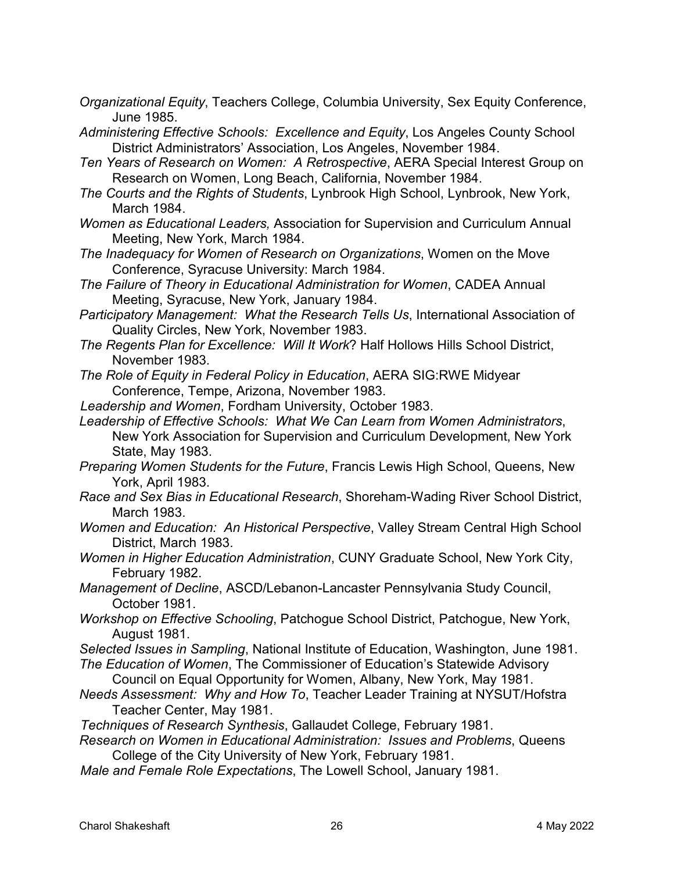- *Organizational Equity*, Teachers College, Columbia University, Sex Equity Conference, June 1985.
- *Administering Effective Schools: Excellence and Equity*, Los Angeles County School District Administrators' Association, Los Angeles, November 1984.
- Research on Women, Long Beach, California, November 1984. *Ten Years of Research on Women: A Retrospective*, AERA Special Interest Group on
- *The Courts and the Rights of Students*, Lynbrook High School, Lynbrook, New York, March 1984.
- *Women as Educational Leaders,* Association for Supervision and Curriculum Annual Meeting, New York, March 1984.
- *The Inadequacy for Women of Research on Organizations*, Women on the Move Conference, Syracuse University: March 1984.
- *The Failure of Theory in Educational Administration for Women*, CADEA Annual Meeting, Syracuse, New York, January 1984.
- *Participatory Management: What the Research Tells Us*, International Association of Quality Circles, New York, November 1983.
- *The Regents Plan for Excellence: Will It Work*? Half Hollows Hills School District, November 1983.
- *The Role of Equity in Federal Policy in Education*, AERA SIG:RWE Midyear Conference, Tempe, Arizona, November 1983.
- *Leadership and Women*, Fordham University, October 1983.
- *Leadership of Effective Schools: What We Can Learn from Women Administrators*, New York Association for Supervision and Curriculum Development, New York State, May 1983.
- *Preparing Women Students for the Future*, Francis Lewis High School, Queens, New York, April 1983.
- *Race and Sex Bias in Educational Research*, Shoreham-Wading River School District, March 1983.
- *Women and Education: An Historical Perspective*, Valley Stream Central High School District, March 1983.
- *Women in Higher Education Administration*, CUNY Graduate School, New York City, February 1982.
- *Management of Decline*, ASCD/Lebanon-Lancaster Pennsylvania Study Council, October 1981.
- August 1981. *Workshop on Effective Schooling*, Patchogue School District, Patchogue, New York,
- *Selected Issues in Sampling*, National Institute of Education, Washington, June 1981. *The Education of Women*, The Commissioner of Education's Statewide Advisory
	- Council on Equal Opportunity for Women, Albany, New York, May 1981.
- *Needs Assessment: Why and How To*, Teacher Leader Training at NYSUT/Hofstra Teacher Center, May 1981.
- *Techniques of Research Synthesis*, Gallaudet College, February 1981.
- *Research on Women in Educational Administration: Issues and Problems*, Queens College of the City University of New York, February 1981.
- *Male and Female Role Expectations*, The Lowell School, January 1981.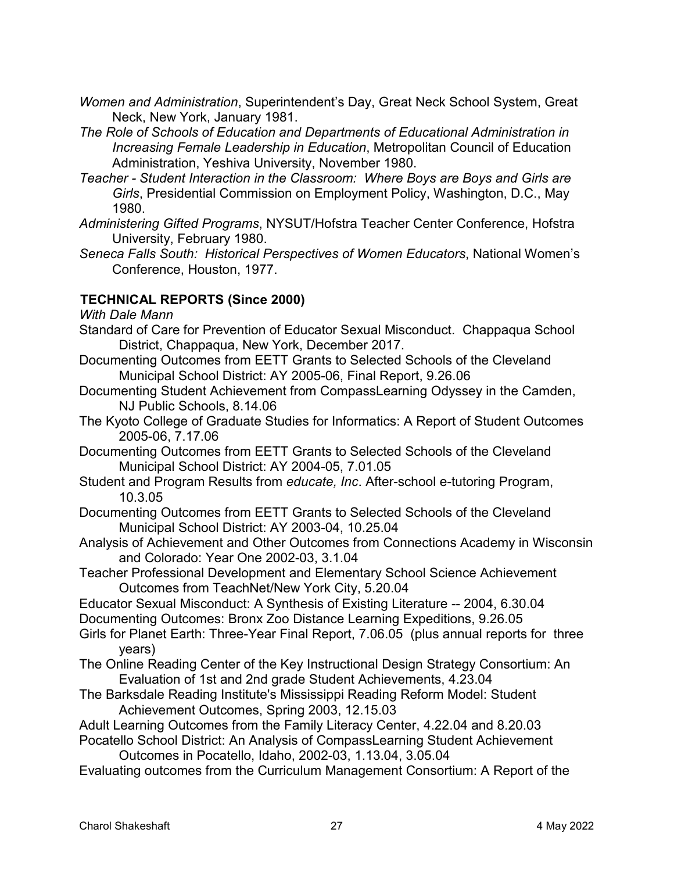- *Women and Administration*, Superintendent's Day, Great Neck School System, Great Neck, New York, January 1981.
- *The Role of Schools of Education and Departments of Educational Administration in Increasing Female Leadership in Education*, Metropolitan Council of Education Administration, Yeshiva University, November 1980.
- *Girls*, Presidential Commission on Employment Policy, Washington, D.C., May *Teacher - Student Interaction in the Classroom: Where Boys are Boys and Girls are*  1980.
- *Administering Gifted Programs*, NYSUT/Hofstra Teacher Center Conference, Hofstra University, February 1980.
- *Seneca Falls South: Historical Perspectives of Women Educators*, National Women's Conference, Houston, 1977.

# **TECHNICAL REPORTS (Since 2000)**

*With Dale Mann* 

- Standard of Care for Prevention of Educator Sexual Misconduct. Chappaqua School District, Chappaqua, New York, December 2017.
- Documenting Outcomes from EETT Grants to Selected Schools of the Cleveland Municipal School District: AY 2005-06, Final Report, 9.26.06
- Documenting Student Achievement from CompassLearning Odyssey in the Camden, NJ Public Schools, 8.14.06
- The Kyoto College of Graduate Studies for Informatics: A Report of Student Outcomes 2005-06, 7.17.06
- Documenting Outcomes from EETT Grants to Selected Schools of the Cleveland Municipal School District: AY 2004-05, 7.01.05
- Student and Program Results from *educate, Inc*. After-school e-tutoring Program, 10.3.05
- Documenting Outcomes from EETT Grants to Selected Schools of the Cleveland Municipal School District: AY 2003-04, [10.25.04](https://10.25.04)
- Analysis of Achievement and Other Outcomes from Connections Academy in Wisconsin and Colorado: Year One 2002-03, 3.1.04
- Outcomes from TeachNet/New York City, 5.20.04 Teacher Professional Development and Elementary School Science Achievement
- Educator Sexual Misconduct: A Synthesis of Existing Literature -- 2004, 6.30.04 Documenting Outcomes: Bronx Zoo Distance Learning Expeditions, 9.26.05
- Girls for Planet Earth: Three-Year Final Report, 7.06.05 (plus annual reports for three years)
- The Online Reading Center of the Key Instructional Design Strategy Consortium: An Evaluation of 1st and 2nd grade Student Achievements, 4.23.04
- The Barksdale Reading Institute's Mississippi Reading Reform Model: Student Achievement Outcomes, Spring 2003, [12.15.03](https://12.15.03)
- Adult Learning Outcomes from the Family Literacy Center, 4.22.04 and 8.20.03
- Pocatello School District: An Analysis of CompassLearning Student Achievement Outcomes in Pocatello, Idaho, 2002-03, 1.13.04, 3.05.04
- Evaluating outcomes from the Curriculum Management Consortium: A Report of the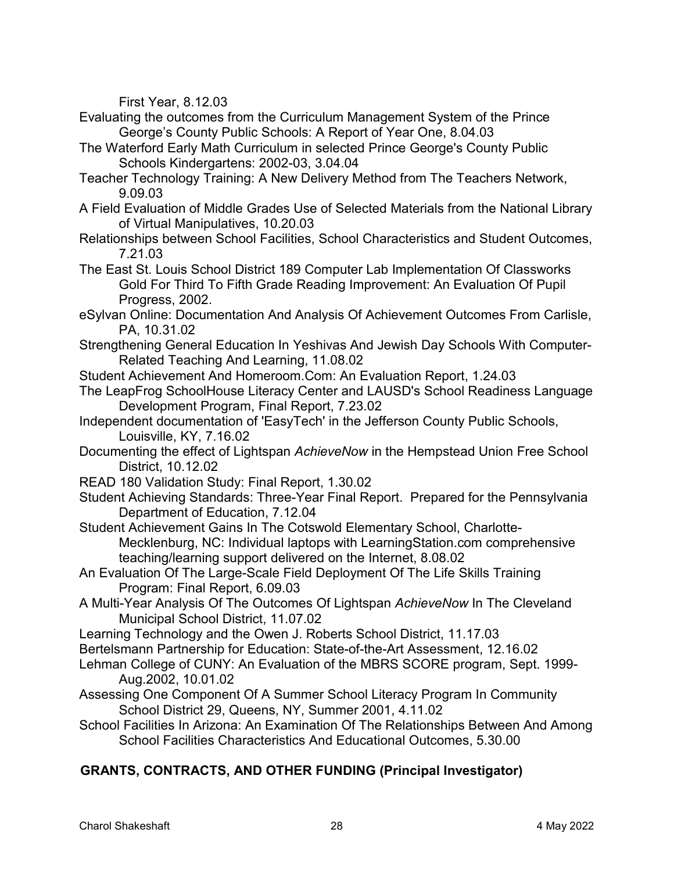First Year, 8.12.03

- Evaluating the outcomes from the Curriculum Management System of the Prince George's County Public Schools: A Report of Year One, 8.04.03
- The Waterford Early Math Curriculum in selected Prince George's County Public Schools Kindergartens: 2002-03, 3.04.04
- Teacher Technology Training: A New Delivery Method from The Teachers Network, 9.09.03
- A Field Evaluation of Middle Grades Use of Selected Materials from the National Library of Virtual Manipulatives, [10.20.03](https://10.20.03)
- Relationships between School Facilities, School Characteristics and Student Outcomes, 7.21.03
- The East St. Louis School District 189 Computer Lab Implementation Of Classworks Gold For Third To Fifth Grade Reading Improvement: An Evaluation Of Pupil Progress, 2002.
- eSylvan Online: Documentation And Analysis Of Achievement Outcomes From Carlisle, PA, [10.31.02](https://10.31.02)
- Related Teaching And Learning, [11.08.02](https://11.08.02) Strengthening General Education In Yeshivas And Jewish Day Schools With Computer-
- Student Achievement And [Homeroom.Com](https://Homeroom.Com): An Evaluation Report, 1.24.03
- The LeapFrog SchoolHouse Literacy Center and LAUSD's School Readiness Language Development Program, Final Report, 7.23.02
- Independent documentation of 'EasyTech' in the Jefferson County Public Schools, Louisville, KY, 7.16.02
- Documenting the effect of Lightspan *AchieveNow* in the Hempstead Union Free School District, [10.12.02](https://10.12.02)
- READ 180 Validation Study: Final Report, 1.30.02
- Student Achieving Standards: Three-Year Final Report. Prepared for the Pennsylvania Department of Education, 7.12.04
- Student Achievement Gains In The Cotswold Elementary School, Charlotte-Mecklenburg, NC: Individual laptops with [LearningStation.com](https://LearningStation.com) comprehensive teaching/learning support delivered on the Internet, 8.08.02
- An Evaluation Of The Large-Scale Field Deployment Of The Life Skills Training Program: Final Report, 6.09.03
- Municipal School District, [11.07.02](https://11.07.02) A Multi-Year Analysis Of The Outcomes Of Lightspan *AchieveNow* In The Cleveland
- Learning Technology and the Owen J. Roberts School District, [11.17.03](https://11.17.03)
- Bertelsmann Partnership for Education: State-of-the-Art Assessment, [12.16.02](https://12.16.02)
- Lehman College of CUNY: An Evaluation of the MBRS SCORE program, Sept. 1999- Aug.2002, [10.01.02](https://10.01.02)
- Assessing One Component Of A Summer School Literacy Program In Community School District 29, Queens, NY, Summer 2001, 4.11.02
- School Facilities In Arizona: An Examination Of The Relationships Between And Among School Facilities Characteristics And Educational Outcomes, 5.30.00

# **GRANTS, CONTRACTS, AND OTHER FUNDING (Principal Investigator)**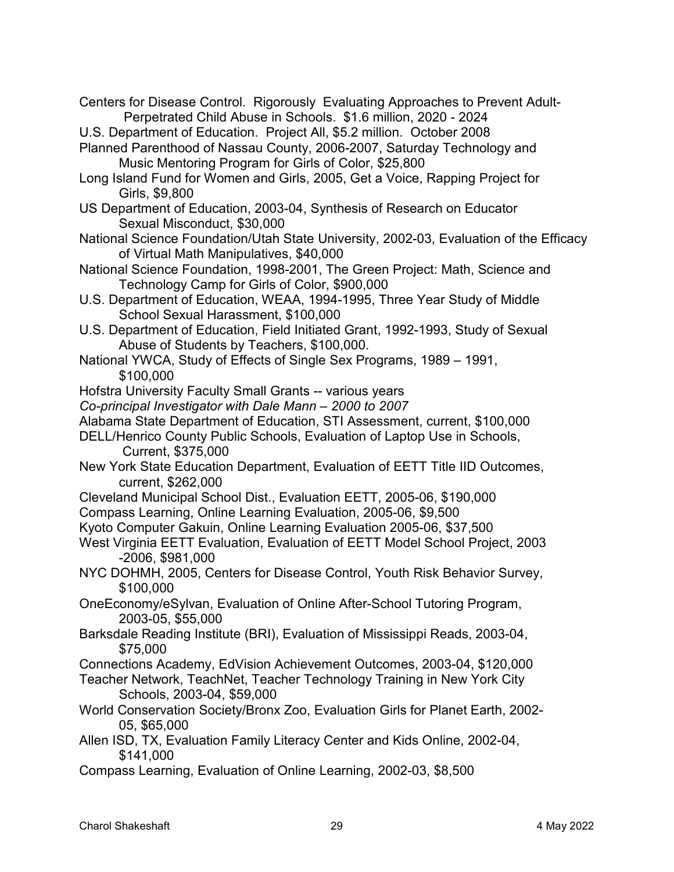- Perpetrated Child Abuse in Schools. \$1.6 million, 2020 2024 Centers for Disease Control. Rigorously Evaluating Approaches to Prevent Adult-
- U.S. Department of Education. Project All, \$5.2 million. October 2008
- Planned Parenthood of Nassau County, 2006-2007, Saturday Technology and Music Mentoring Program for Girls of Color, \$25,800
- Long Island Fund for Women and Girls, 2005, Get a Voice, Rapping Project for Girls, \$9,800
- US Department of Education, 2003-04, Synthesis of Research on Educator Sexual Misconduct, \$30,000
- National Science Foundation/Utah State University, 2002-03, Evaluation of the Efficacy of Virtual Math Manipulatives, \$40,000
- National Science Foundation, 1998-2001, The Green Project: Math, Science and Technology Camp for Girls of Color, \$900,000
- School Sexual Harassment, \$100,000 U.S. Department of Education, WEAA, 1994-1995, Three Year Study of Middle
- U.S. Department of Education, Field Initiated Grant, 1992-1993, Study of Sexual Abuse of Students by Teachers, \$100,000.
- National YWCA, Study of Effects of Single Sex Programs, 1989 1991, \$100,000
- Hofstra University Faculty Small Grants -- various years
- *Co-principal Investigator with Dale Mann 2000 to 2007*
- Alabama State Department of Education, STI Assessment, current, \$100,000
- DELL/Henrico County Public Schools, Evaluation of Laptop Use in Schools, Current, \$375,000
- New York State Education Department, Evaluation of EETT Title IID Outcomes, current, \$262,000
- Cleveland Municipal School Dist., Evaluation EETT, 2005-06, \$190,000
- Compass Learning, Online Learning Evaluation, 2005-06, \$9,500
- Kyoto Computer Gakuin, Online Learning Evaluation 2005-06, \$37,500
- West Virginia EETT Evaluation, Evaluation of EETT Model School Project, 2003 -2006, \$981,000
- NYC DOHMH, 2005, Centers for Disease Control, Youth Risk Behavior Survey, \$100,000
- OneEconomy/eSylvan, Evaluation of Online After-School Tutoring Program, 2003-05, \$55,000
- Barksdale Reading Institute (BRI), Evaluation of Mississippi Reads, 2003-04, \$75,000
- Connections Academy, EdVision Achievement Outcomes, 2003-04, \$120,000
- Teacher Network, TeachNet, Teacher Technology Training in New York City Schools, 2003-04, \$59,000
- World Conservation Society/Bronx Zoo, Evaluation Girls for Planet Earth, 2002- 05, \$65,000
- Allen ISD, TX, Evaluation Family Literacy Center and Kids Online, 2002-04, \$141,000
- Compass Learning, Evaluation of Online Learning, 2002-03, \$8,500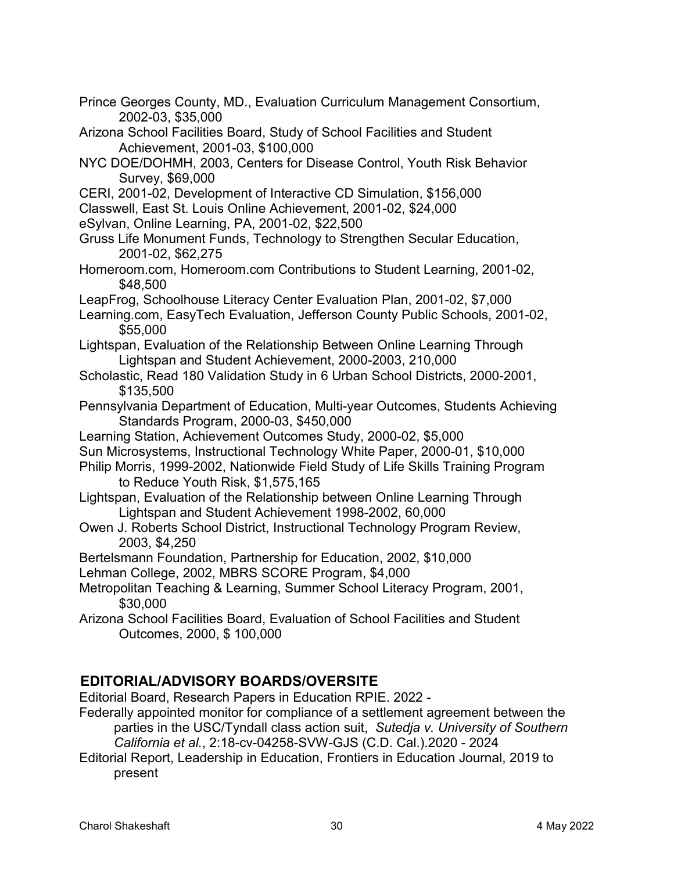Prince Georges County, MD., Evaluation Curriculum Management Consortium, 2002-03, \$35,000

- Arizona School Facilities Board, Study of School Facilities and Student Achievement, 2001-03, \$100,000
- NYC DOE/DOHMH, 2003, Centers for Disease Control, Youth Risk Behavior Survey, \$69,000
- CERI, 2001-02, Development of Interactive CD Simulation, \$156,000
- Classwell, East St. Louis Online Achievement, 2001-02, \$24,000
- eSylvan, Online Learning, PA, 2001-02, \$22,500
- Gruss Life Monument Funds, Technology to Strengthen Secular Education, 2001-02, \$62,275
- [Homeroom.com](https://Homeroom.com), [Homeroom.com](https://Homeroom.com) Contributions to Student Learning, 2001-02, \$48,500
- LeapFrog, Schoolhouse Literacy Center Evaluation Plan, 2001-02, \$7,000
- [Learning.com,](https://Learning.com) EasyTech Evaluation, Jefferson County Public Schools, 2001-02, \$55,000
- Lightspan, Evaluation of the Relationship Between Online Learning Through Lightspan and Student Achievement, 2000-2003, 210,000
- Scholastic, Read 180 Validation Study in 6 Urban School Districts, 2000-2001, \$135,500
- Pennsylvania Department of Education, Multi-year Outcomes, Students Achieving Standards Program, 2000-03, \$450,000
- Learning Station, Achievement Outcomes Study, 2000-02, \$5,000
- Sun Microsystems, Instructional Technology White Paper, 2000-01, \$10,000
- Philip Morris, 1999-2002, Nationwide Field Study of Life Skills Training Program to Reduce Youth Risk, \$1,575,165
- Lightspan, Evaluation of the Relationship between Online Learning Through Lightspan and Student Achievement 1998-2002, 60,000
- Owen J. Roberts School District, Instructional Technology Program Review, 2003, \$4,250
- Bertelsmann Foundation, Partnership for Education, 2002, \$10,000
- Lehman College, 2002, MBRS SCORE Program, \$4,000
- Metropolitan Teaching & Learning, Summer School Literacy Program, 2001, \$30,000
- Arizona School Facilities Board, Evaluation of School Facilities and Student Outcomes, 2000, \$ 100,000

# **EDITORIAL/ADVISORY BOARDS/OVERSITE**

Editorial Board, Research Papers in Education RPIE. 2022 -

- parties in the USC/Tyndall class action suit, *Sutedja v. University of Southern California et al.*, 2:18-cv-04258-SVW-GJS (C.D. Cal.).2020 - 2024 Federally appointed monitor for compliance of a settlement agreement between the
- Editorial Report, Leadership in Education, Frontiers in Education Journal, 2019 to present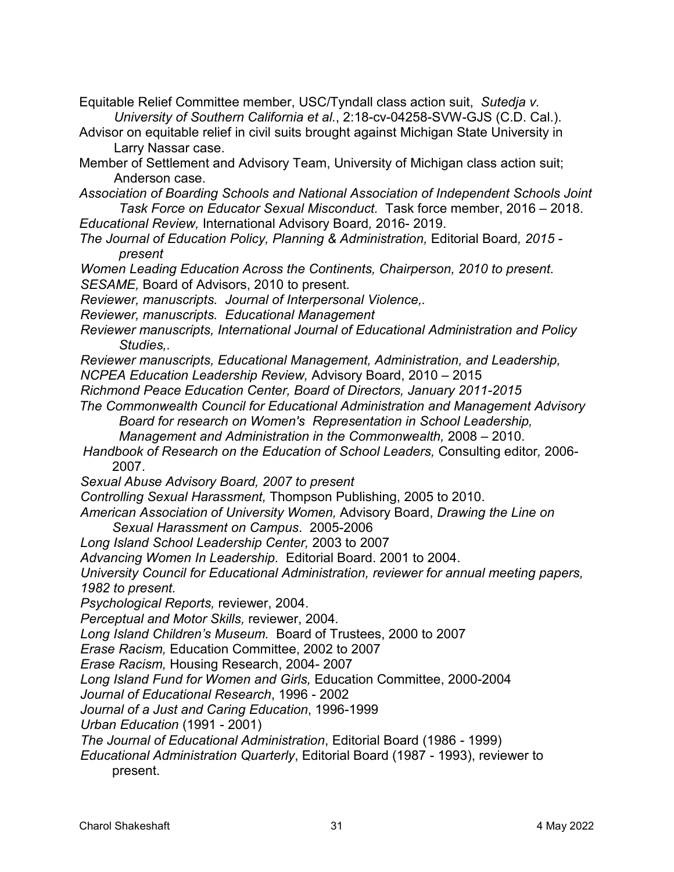Equitable Relief Committee member, USC/Tyndall class action suit, *Sutedja v. University of Southern California et al.*, 2:18-cv-04258-SVW-GJS (C.D. Cal.).

- Advisor on equitable relief in civil suits brought against Michigan State University in Larry Nassar case.
- Member of Settlement and Advisory Team, University of Michigan class action suit; Anderson case.
- *Task Force on Educator Sexual Misconduct.* Task force member, 2016 2018. *Association of Boarding Schools and National Association of Independent Schools Joint*
- *Educational Review,* International Advisory Board*,* 2016- 2019.
- *The Journal of Education Policy, Planning & Administration,* Editorial Board*, 2015 present*
- *Women Leading Education Across the Continents, Chairperson, 2010 to present. SESAME,* Board of Advisors, 2010 to present.

*Reviewer, manuscripts. Journal of Interpersonal Violence,.* 

*Reviewer, manuscripts. Educational Management* 

- *Reviewer manuscripts, International Journal of Educational Administration and Policy Studies,.*
- *Reviewer manuscripts, Educational Management, Administration, and Leadership, NCPEA Education Leadership Review,* Advisory Board, 2010 – 2015
- *Richmond Peace Education Center, Board of Directors, January 2011-2015*
- *The Commonwealth Council for Educational Administration and Management Advisory Board for research on Women's Representation in School Leadership,* 
	- *Management and Administration in the Commonwealth,* 2008 2010.
- *Handbook of Research on the Education of School Leaders,* Consulting editor*,* 2006- 2007.
- *Sexual Abuse Advisory Board, 2007 to present*

*Controlling Sexual Harassment,* Thompson Publishing, 2005 to 2010.

*American Association of University Women,* Advisory Board, *Drawing the Line on Sexual Harassment on Campus*. 2005-2006

*Long Island School Leadership Center,* 2003 to 2007

 *Advancing Women In Leadership.* Editorial Board. 2001 to 2004.

*University Council for Educational Administration, reviewer for annual meeting papers, 1982 to present.* 

*Psychological Reports,* reviewer, 2004.

 *Perceptual and Motor Skills,* reviewer, 2004*.* 

*Long Island Children's Museum.* Board of Trustees, 2000 to 2007

*Erase Racism,* Education Committee, 2002 to 2007

*Erase Racism,* Housing Research, 2004- 2007

*Long Island Fund for Women and Girls,* Education Committee, 2000-2004

*Journal of Educational Research*, 1996 - 2002

 *Journal of a Just and Caring Education*, 1996-1999

*Urban Education* (1991 - 2001)

*The Journal of Educational Administration*, Editorial Board (1986 - 1999)

*Educational Administration Quarterly*, Editorial Board (1987 - 1993), reviewer to present.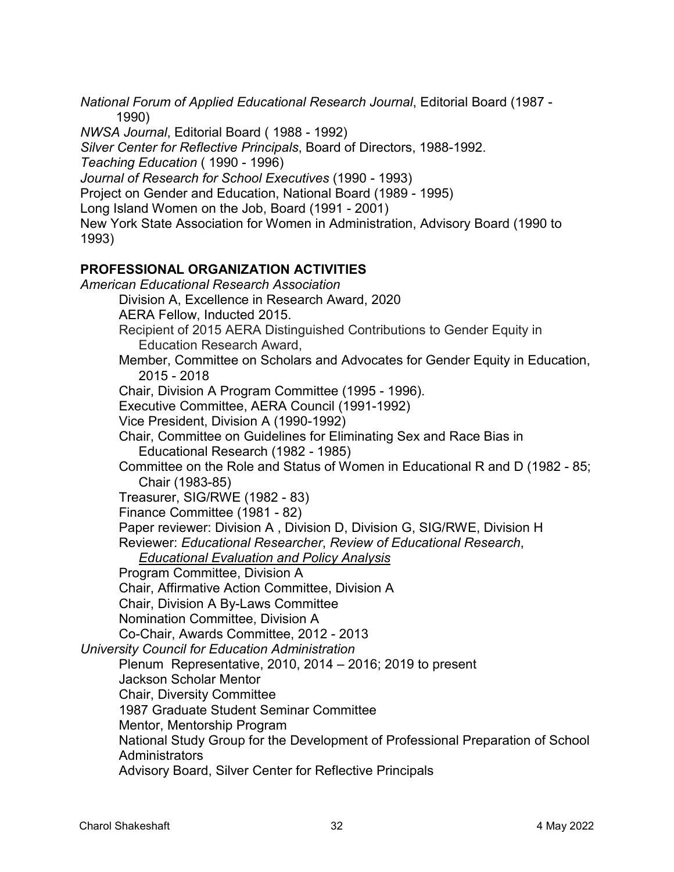*National Forum of Applied Educational Research Journal*, Editorial Board (1987 - 1990)

*NWSA Journal*, Editorial Board ( 1988 - 1992)

*Silver Center for Reflective Principals*, Board of Directors, 1988-1992.

*Teaching Education* ( 1990 - 1996)

*Journal of Research for School Executives* (1990 - 1993)

Project on Gender and Education, National Board (1989 - 1995)

Long Island Women on the Job, Board (1991 - 2001)

New York State Association for Women in Administration, Advisory Board (1990 to 1993)

## **PROFESSIONAL ORGANIZATION ACTIVITIES**

 Member, Committee on Scholars and Advocates for Gender Equity in Education, 2015 - 2018 Educational Research (1982 - 1985) Committee on the Role and Status of Women in Educational R and D (1982 - 85; Treasurer, SIG/RWE (1982 - 83) Finance Committee (1981 - 82) *Educational Evaluation and Policy Analysis*  Co-Chair, Awards Committee, 2012 - 2013 Plenum Representative, 2010, 2014 – 2016; 2019 to present National Study Group for the Development of Professional Preparation of School Advisory Board, Silver Center for Reflective Principals *American Educational Research Association*  Division A, Excellence in Research Award, 2020 AERA Fellow, Inducted 2015. Recipient of 2015 AERA Distinguished Contributions to Gender Equity in Education Research Award, Chair, Division A Program Committee (1995 - 1996). Executive Committee, AERA Council (1991-1992) Vice President, Division A (1990-1992) Chair, Committee on Guidelines for Eliminating Sex and Race Bias in Chair (1983-85) Paper reviewer: Division A , Division D, Division G, SIG/RWE, Division H Reviewer: *Educational Researcher*, *Review of Educational Research*, Program Committee, Division A Chair, Affirmative Action Committee, Division A Chair, Division A By-Laws Committee Nomination Committee, Division A *University Council for Education Administration*  Jackson Scholar Mentor Chair, Diversity Committee 1987 Graduate Student Seminar Committee Mentor, Mentorship Program **Administrators**